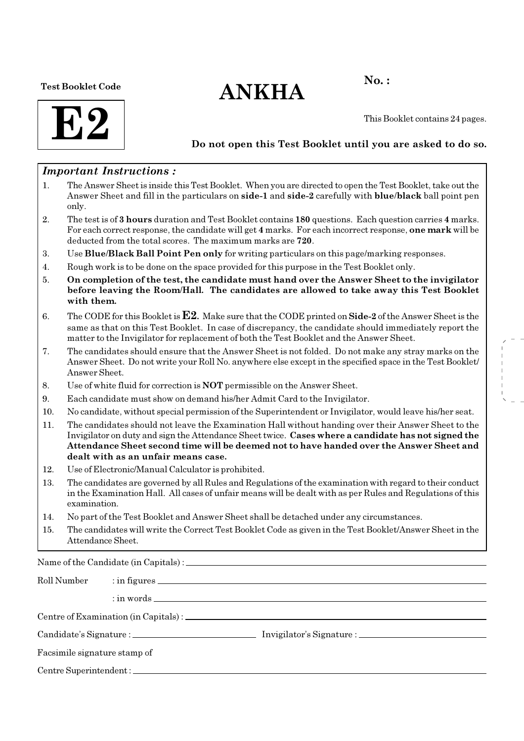Test Booklet Code

# $ANKHA$ <sup>No.:</sup>



This Booklet contains 24 pages.

#### Do not open this Test Booklet until you are asked to do so.

#### Important Instructions :

- 1. The Answer Sheet is inside this Test Booklet. When you are directed to open the Test Booklet, take out the Answer Sheet and fill in the particulars on side-1 and side-2 carefully with blue/black ball point pen only.
- 2. The test is of 3 hours duration and Test Booklet contains 180 questions. Each question carries 4 marks. For each correct response, the candidate will get 4 marks. For each incorrect response, one mark will be deducted from the total scores. The maximum marks are 720.
- 3. Use Blue/Black Ball Point Pen only for writing particulars on this page/marking responses.
- 4. Rough work is to be done on the space provided for this purpose in the Test Booklet only.
- 5. On completion of the test, the candidate must hand over the Answer Sheet to the invigilator before leaving the Room/Hall. The candidates are allowed to take away this Test Booklet with them.
- 6. The CODE for this Booklet is  $E2$ . Make sure that the CODE printed on Side-2 of the Answer Sheet is the same as that on this Test Booklet. In case of discrepancy, the candidate should immediately report the matter to the Invigilator for replacement of both the Test Booklet and the Answer Sheet.
- 7. The candidates should ensure that the Answer Sheet is not folded. Do not make any stray marks on the Answer Sheet. Do not write your Roll No. anywhere else except in the specified space in the Test Booklet/ Answer Sheet.
- 8. Use of white fluid for correction is NOT permissible on the Answer Sheet.
- 9. Each candidate must show on demand his/her Admit Card to the Invigilator.
- 10. No candidate, without special permission of the Superintendent or Invigilator, would leave his/her seat.
- 11. The candidates should not leave the Examination Hall without handing over their Answer Sheet to the Invigilator on duty and sign the Attendance Sheet twice. Cases where a candidate has not signed the Attendance Sheet second time will be deemed not to have handed over the Answer Sheet and dealt with as an unfair means case.
- 12. Use of Electronic/Manual Calculator is prohibited.
- 13. The candidates are governed by all Rules and Regulations of the examination with regard to their conduct in the Examination Hall. All cases of unfair means will be dealt with as per Rules and Regulations of this examination.
- 14. No part of the Test Booklet and Answer Sheet shall be detached under any circumstances.
- 15. The candidates will write the Correct Test Booklet Code as given in the Test Booklet/Answer Sheet in the Attendance Sheet.

Name of the Candidate (in Capitals) :

| Roll Number                  |  |  |  |  |  |
|------------------------------|--|--|--|--|--|
|                              |  |  |  |  |  |
|                              |  |  |  |  |  |
|                              |  |  |  |  |  |
| Facsimile signature stamp of |  |  |  |  |  |
|                              |  |  |  |  |  |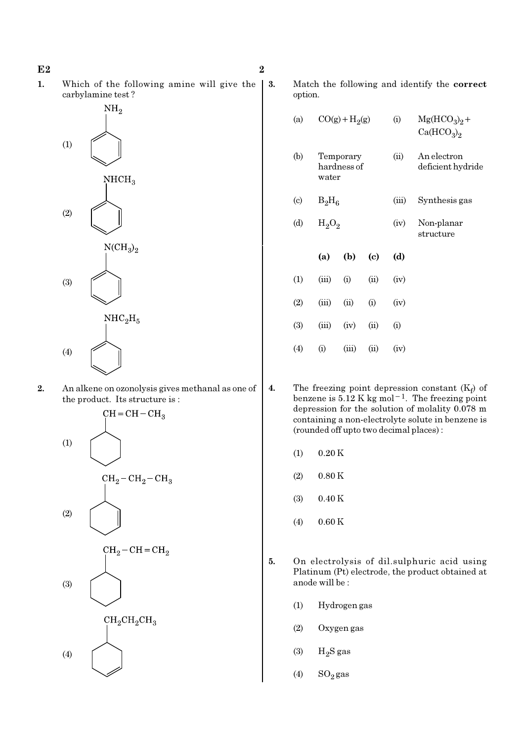1. Which of the following amine will give the carbylamine test ?



2. An alkene on ozonolysis gives methanal as one of the product. Its structure is :



3. Match the following and identify the correct option.

| (a)                         |          | $CO(g) + H2(g)$          |      | (i)   | $Mg(HCO3)2 +$<br>Ca(HCO <sub>3</sub> ) <sub>2</sub> |
|-----------------------------|----------|--------------------------|------|-------|-----------------------------------------------------|
| (b)                         | water    | Temporary<br>hardness of |      | (ii)  | An electron<br>deficient hydride                    |
| $\left( \mathrm{c} \right)$ | $B_2H_6$ |                          |      | (iii) | Synthesis gas                                       |
| (d)                         | $H_2O_2$ |                          |      | (iv)  | Non-planar<br>structure                             |
|                             | (a)      | (b)                      | (c)  | (d)   |                                                     |
| (1)                         | (iii)    | (i)                      | (ii) | (iv)  |                                                     |
| (2)                         | (iii)    | (ii)                     | (i)  | (iv)  |                                                     |
| (3)                         | (iii)    | (iv)                     | (ii) | (i)   |                                                     |
| $\left( 4\right)$           | (i)      | (iii)                    | (ii) | (iv)  |                                                     |

- 4. The freezing point depression constant  $(K_f)$  of benzene is  $5.12$  K kg mol<sup>-1</sup>. The freezing point depression for the solution of molality 0.078 m containing a non-electrolyte solute in benzene is (rounded off upto two decimal places) :
	- $(1)$  0.20 K
	- $(2)$  0.80 K
	- (3) 0.40 K
	- (4) 0.60 K
- 5. On electrolysis of dil.sulphuric acid using Platinum (Pt) electrode, the product obtained at anode will be :
	- (1) Hydrogen gas
	- (2) Oxygen gas
	- $(3)$  H<sub>2</sub>S gas
	- $(4)$  SO<sub>2</sub> gas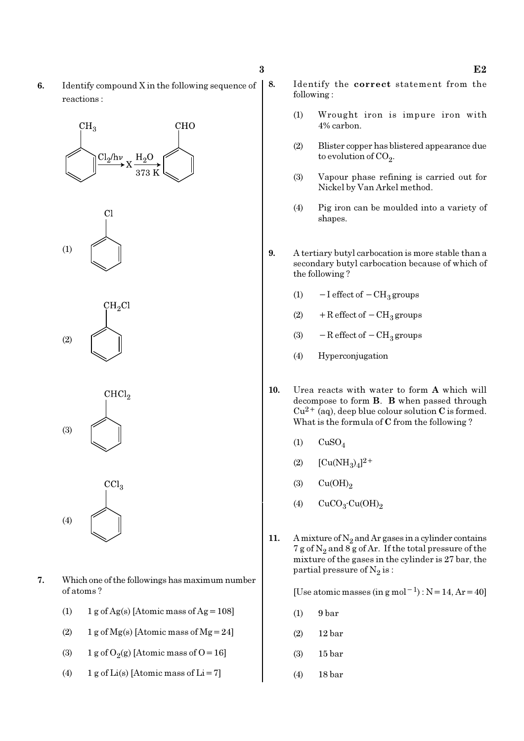6. Identify compound X in the following sequence of reactions :

## $CH<sub>3</sub>$ **CHO**  $\text{Cl}_2/\text{h}\nu$





 $CHCl<sub>2</sub>$ (3)



- 7. Which one of the followings has maximum number of atoms ?
	- (1)  $1 g \text{ of } Ag(s)$  [Atomic mass of Ag = 108]
	- (2)  $1 \text{ g of Mg(s)}$  [Atomic mass of Mg = 24]
	- (3) 1 g of  $O_2(g)$  [Atomic mass of O = 16]
	- (4) 1 g of  $Li(s)$  [Atomic mass of  $Li = 7$ ]
- 8. Identify the correct statement from the following :
	- (1) Wrought iron is impure iron with 4% carbon.
	- (2) Blister copper has blistered appearance due to evolution of CO<sub>2</sub>.
	- (3) Vapour phase refining is carried out for Nickel by Van Arkel method.
	- (4) Pig iron can be moulded into a variety of shapes.
- 9. A tertiary butyl carbocation is more stable than a secondary butyl carbocation because of which of the following ?
	- (1)  $-I$  effect of  $-CH_3$  groups
	- (2) + R effect of  $-CH<sub>3</sub>$  groups
	- (3)  $-$  R effect of  $-$  CH<sub>3</sub> groups
	- (4) Hyperconjugation
- 10. Urea reacts with water to form A which will decompose to form B. B when passed through  $Cu^{2+}$  (aq), deep blue colour solution C is formed. What is the formula of C from the following ?
	- $(1)$  CuSO<sub>4</sub>
	- (2)  $[Cu(NH_3)_4]^{2+}$
	- (3)  $Cu(OH)<sub>2</sub>$
	- (4)  $CuCO<sub>3</sub>·Cu(OH)<sub>2</sub>$
- 11. A mixture of  $N_2$  and Ar gases in a cylinder contains 7 g of  $\mathrm{N}_2$  and 8 g of Ar. If the total pressure of the mixture of the gases in the cylinder is 27 bar, the partial pressure of  $\mathrm{N}_2 \, \mathrm{is}$  :

[Use atomic masses (in g mol<sup>-1</sup>) : N = 14, Ar = 40]

- (1) 9 bar
- (2) 12 bar
- (3) 15 bar
- (4) 18 bar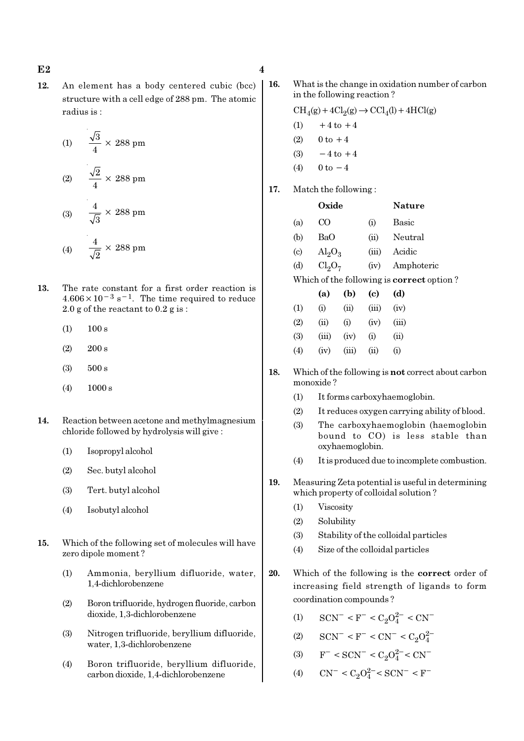12. An element has a body centered cubic (bcc) structure with a cell edge of 288 pm. The atomic radius is :

(1) 
$$
\frac{\sqrt{3}}{4} \times 288 \text{ pm}
$$
  
(2) 
$$
\frac{\sqrt{2}}{4} \times 288 \text{ pm}
$$
  
(3) 
$$
\frac{4}{\sqrt{3}} \times 288 \text{ pm}
$$
  
(4) 
$$
\frac{4}{\sqrt{2}} \times 288 \text{ pm}
$$

- 13. The rate constant for a first order reaction is  $4.606 \times 10^{-3}$  s<sup>-1</sup>. The time required to reduce 2.0 g of the reactant to 0.2 g is :
	- $(1)$  100 s
	- (2) 200 s
	- (3) 500 s
	- (4) 1000 s
- 14. Reaction between acetone and methylmagnesium chloride followed by hydrolysis will give :
	- (1) Isopropyl alcohol
	- (2) Sec. butyl alcohol
	- (3) Tert. butyl alcohol
	- (4) Isobutyl alcohol
- 15. Which of the following set of molecules will have zero dipole moment ?
	- (1) Ammonia, beryllium difluoride, water, 1,4-dichlorobenzene
	- (2) Boron trifluoride, hydrogen fluoride, carbon dioxide, 1,3-dichlorobenzene
	- (3) Nitrogen trifluoride, beryllium difluoride, water, 1,3-dichlorobenzene
	- (4) Boron trifluoride, beryllium difluoride, carbon dioxide, 1,4-dichlorobenzene

16. What is the change in oxidation number of carbon in the following reaction ?

> $\text{CH}_4(g) + 4\text{Cl}_2(g) \rightarrow \text{CCl}_4(l) + 4\text{HCl}(g)$  $(1)$  +4 to +4

- (2)  $0 \text{ to } +4$
- $(3) -4$  to  $+4$
- (4)  $0 \text{ to } -4$
- 17. Match the following :

|                                                  | Oxide                          |                    |       | <b>Nature</b> |  |  |  |  |
|--------------------------------------------------|--------------------------------|--------------------|-------|---------------|--|--|--|--|
| (a)                                              |                                |                    | (i)   | Basic         |  |  |  |  |
| (b)                                              | BaO                            |                    | (ii)  | Neutral       |  |  |  |  |
| $\left( \mathrm{c} \right)$                      | $\text{Al}_2\text{O}_3$        |                    | (iii) | Acidic        |  |  |  |  |
| (d)                                              | Cl <sub>2</sub> O <sub>7</sub> |                    | (iv)  | Amphoteric    |  |  |  |  |
| Which of the following is <b>correct</b> option? |                                |                    |       |               |  |  |  |  |
|                                                  | (a)                            | (b)                | (c)   | (d)           |  |  |  |  |
|                                                  | $_{(1)}$                       | $\dot{\mathrm{u}}$ | (iii) | (iv)          |  |  |  |  |

| (1) | (i)   | (i)            | (iii)          | (iv)              |
|-----|-------|----------------|----------------|-------------------|
| (2) | (ii)  | (i)            | (iv)           | (iii)             |
| (3) | (iii) | (iv)           | $\rm (i)$      | (i)               |
| (4) | (iv)  | $(\text{III})$ | $\dot{\rm{u}}$ | $\left( 1\right)$ |

- 18. Which of the following is not correct about carbon monoxide ?
	- (1) It forms carboxyhaemoglobin.
	- (2) It reduces oxygen carrying ability of blood.
	- (3) The carboxyhaemoglobin (haemoglobin bound to CO) is less stable than oxyhaemoglobin.
	- (4) It is produced due to incomplete combustion.
- 19. Measuring Zeta potential is useful in determining which property of colloidal solution ?
	- (1) Viscosity
	- (2) Solubility
	- (3) Stability of the colloidal particles
	- (4) Size of the colloidal particles
- 20. Which of the following is the correct order of increasing field strength of ligands to form coordination compounds ?
	- (1)  $\text{SCN}^-$  < F<sup>-</sup> < C<sub>2</sub>O<sup>2</sup><sup>-</sup> < CN<sup>-</sup>
	- (2)  $\text{SCN}^-$  < F<sup>-</sup> < CN<sup>-</sup> < C<sub>2</sub>O<sub>4</sub><sup>2</sup>
	- (3)  $F^- < \text{SCN}^- < C_2 O_4^{2-} < \text{CN}^-$
	- (4)  $\text{CN}^- \leq C_2 O_4^{2-} \leq \text{SCN}^- \leq \text{F}^-$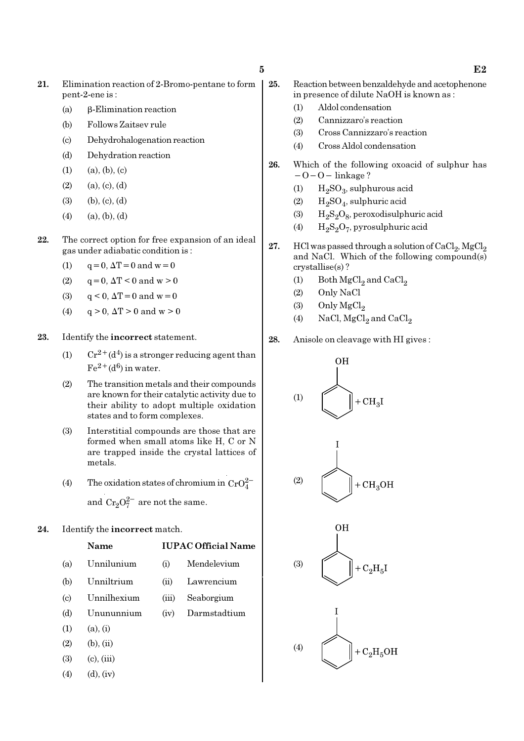- 21. Elimination reaction of 2-Bromo-pentane to form pent-2-ene is :
	- (a) β-Elimination reaction
	- (b) Follows Zaitsev rule
	- (c) Dehydrohalogenation reaction
	- (d) Dehydration reaction
	- $(1)$   $(a), (b), (c)$
	- $(2)$   $(a), (c), (d)$
	- (3) (b), (c), (d)
	- $(4)$   $(a), (b), (d)$
- 22. The correct option for free expansion of an ideal gas under adiabatic condition is :
	- (1)  $q = 0, \Delta T = 0$  and  $w = 0$
	- (2)  $q = 0$ ,  $\Delta T < 0$  and  $w > 0$
	- (3)  $q < 0$ ,  $\Delta T = 0$  and  $w = 0$
	- (4)  $q > 0$ ,  $\Delta T > 0$  and  $w > 0$

#### 23. Identify the incorrect statement.

- (1)  $Cr^{2+}(d^4)$  is a stronger reducing agent than  $Fe^{2+}(d^6)$  in water.
- (2) The transition metals and their compounds are known for their catalytic activity due to their ability to adopt multiple oxidation states and to form complexes.
- (3) Interstitial compounds are those that are formed when small atoms like H, C or N are trapped inside the crystal lattices of metals.
- (4) The oxidation states of chromium in  $CrO_4^{2-}$ and  $Cr_2O_7^{2-}$  are not the same.

#### 24. Identify the incorrect match.

Name IUPAC Official Name (a) Unnilunium (i) Mendelevium

- (b) Unniltrium (ii) Lawrencium
- (c) Unnilhexium (iii) Seaborgium
- (d) Unununnium (iv) Darmstadtium
- $(1)$   $(a), (i)$
- $(2)$   $(b), (ii)$
- $(3)$   $(c)$ ,  $(iii)$
- $(4)$   $(d), (iv)$
- 25. Reaction between benzaldehyde and acetophenone in presence of dilute NaOH is known as :
	- (1) Aldol condensation
	- (2) Cannizzaro's reaction
	- (3) Cross Cannizzaro's reaction
	- (4) Cross Aldol condensation
- 26. Which of the following oxoacid of sulphur has  $-O-O-$  linkage ?
	- (1)  $H_2SO_3$ , sulphurous acid
	- (2)  $H_2SO_4$ , sulphuric acid
	- (3)  $H_2S_2O_8$ , peroxodisulphuric acid
	- (4)  $\rm{H_2S_2O_7}$ , pyrosulphuric acid
- 27. HCl was passed through a solution of  $\mathrm{CaCl}_{2}$ ,  $\mathrm{MgCl}_{2}$ and NaCl. Which of the following compound(s) crystallise(s) ?
	- (1) Both  $\mathrm{MgCl}_2$  and  $\mathrm{CaCl}_2$
	- (2) Only NaCl
	- (3) Only  $MgCl<sub>2</sub>$
	- (4) NaCl,  $MgCl<sub>2</sub>$  and  $CaCl<sub>2</sub>$
- 28. Anisole on cleavage with HI gives :



 $5$  E2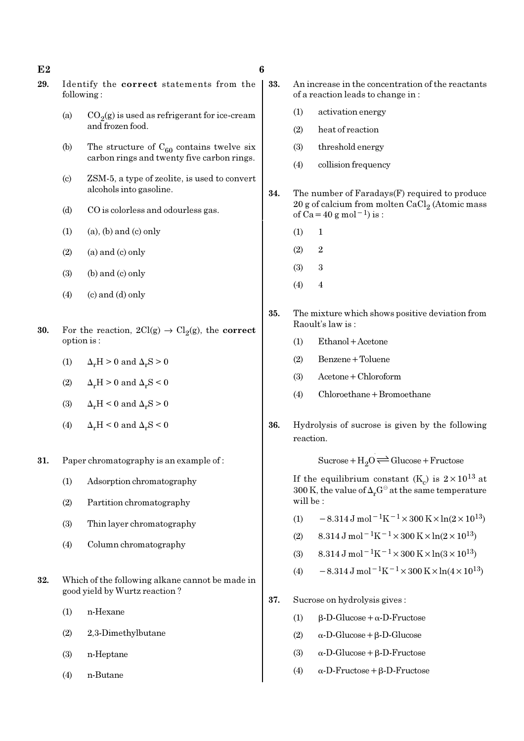#### $E2$  6

- 29. Identify the correct statements from the following :
	- (a)  $CO_2(g)$  is used as refrigerant for ice-cream and frozen food.
	- (b) The structure of  $C_{60}$  contains twelve six carbon rings and twenty five carbon rings.
	- (c) ZSM-5, a type of zeolite, is used to convert alcohols into gasoline.
	- (d) CO is colorless and odourless gas.
	- $(1)$   $(a)$ ,  $(b)$  and  $(c)$  only
	- $(2)$  (a) and  $(c)$  only
	- $(3)$  (b) and  $(c)$  only
	- $(4)$  (c) and  $(d)$  only
- **30.** For the reaction,  $2Cl(g) \rightarrow Cl_2(g)$ , the **correct** option is :
	- (1)  $\Delta_r H > 0$  and  $\Delta_r S > 0$
	- (2)  $\Delta_r H > 0$  and  $\Delta_r S < 0$
	- (3)  $\Delta_r H < 0$  and  $\Delta_r S > 0$
	- (4)  $\Delta_r H \leq 0$  and  $\Delta_r S \leq 0$
- 31. Paper chromatography is an example of :
	- (1) Adsorption chromatography
	- (2) Partition chromatography
	- (3) Thin layer chromatography
	- (4) Column chromatography
- 32. Which of the following alkane cannot be made in good yield by Wurtz reaction ?
	- (1) n-Hexane
	- (2) 2,3-Dimethylbutane
	- (3) n-Heptane
	- (4) n-Butane
- 33. An increase in the concentration of the reactants of a reaction leads to change in :
	- (1) activation energy
	- (2) heat of reaction
	- (3) threshold energy
	- (4) collision frequency
- 34. The number of Faradays(F) required to produce  $20$  g of calcium from molten CaCl $_2$  (Atomic mass of Ca=40 g mol<sup>-1</sup>) is :
	- $(1) 1$
	- $(2)$  2
	- (3) 3
	- $(4)$  4
- 35. The mixture which shows positive deviation from Raoult's law is :
	- (1) Ethanol+Acetone
	- (2) Benzene+Toluene
	- (3) Acetone+Chloroform
	- (4) Chloroethane+Bromoethane
- 36. Hydrolysis of sucrose is given by the following reaction.

 $Sucrose+H_2O \rightleftharpoons Glucose+Fructose$ 

If the equilibrium constant (K<sub>c</sub>) is  $2 \times 10^{13}$  at 300 K, the value of  $\Delta_r G^\ominus$  at the same temperature will be :

- (1)  $-8.314 \,\mathrm{J} \,\mathrm{mol}^{-1} \mathrm{K}^{-1} \times 300 \,\mathrm{K} \times \ln(2 \times 10^{13})$
- (2)  $8.314 \text{ J} \text{ mol}^{-1} \text{K}^{-1} \times 300 \text{ K} \times \ln(2 \times 10^{13})$
- (3)  $8.314 \text{ J mol}^{-1}\text{K}^{-1} \times 300 \text{ K} \times \ln(3 \times 10^{13})$
- (4)  $-8.314 \,\mathrm{J} \,\mathrm{mol}^{-1} \mathrm{K}^{-1} \times 300 \,\mathrm{K} \times \ln(4 \times 10^{13})$
- 37. Sucrose on hydrolysis gives :
	- (1) β-D-Glucose+α-D-Fructose
	- (2) α-D-Glucose+β-D-Glucose
	- (3)  $\alpha$ -D-Glucose + β-D-Fructose
	- (4) α-D-Fructose+β-D-Fructose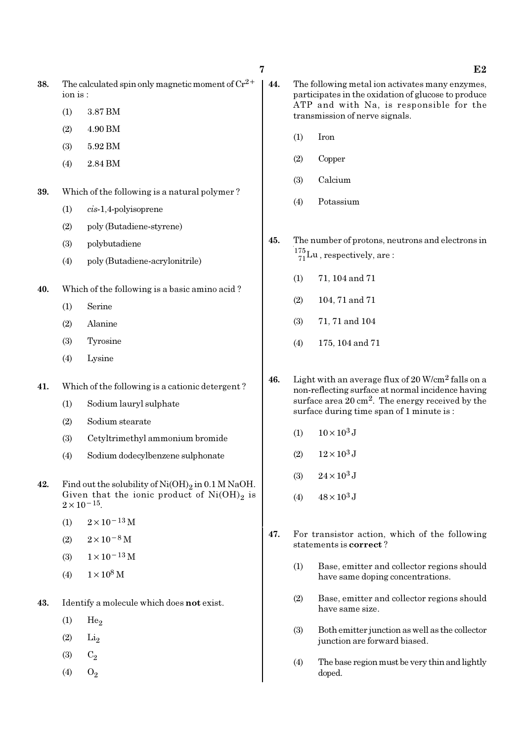- 38. The calculated spin only magnetic moment of  $Cr^{2+}$ ion is :
	- (1) 3.87 BM
	- (2) 4.90 BM
	- (3) 5.92 BM
	- (4) 2.84 BM
- 39. Which of the following is a natural polymer ?
	- (1) cis-1,4-polyisoprene
	- (2) poly (Butadiene-styrene)
	- (3) polybutadiene
	- (4) poly (Butadiene-acrylonitrile)
- 40. Which of the following is a basic amino acid ?
	- (1) Serine
	- (2) Alanine
	- (3) Tyrosine
	- (4) Lysine
- 41. Which of the following is a cationic detergent ?
	- (1) Sodium lauryl sulphate
	- (2) Sodium stearate
	- (3) Cetyltrimethyl ammonium bromide
	- (4) Sodium dodecylbenzene sulphonate
- **42.** Find out the solubility of  $\text{Ni}(\text{OH})_2$  in 0.1 M NaOH. Given that the ionic product of  $\mathrm{Ni(OH)}_{2}$  is  $2 \times 10^{-15}$ .
	- (1)  $2 \times 10^{-13}$  M
	- $(2)$  2×10<sup>-8</sup> M
	- (3)  $1 \times 10^{-13}$  M
	- (4)  $1 \times 10^8$  M
- 43. Identify a molecule which does not exist.
	- $(1)$  He<sub>2</sub>
	- $(2)$   $Li<sub>2</sub>$
	- (3)  $C_2$
	- (4)  $O_2$
- 44. The following metal ion activates many enzymes, participates in the oxidation of glucose to produce ATP and with Na, is responsible for the transmission of nerve signals.
	- (1) Iron
	- (2) Copper
	- (3) Calcium
	- (4) Potassium
- 45. The number of protons, neutrons and electrons in  $^{175}_{71}$ Lu, respectively, are:
	- (1) 71, 104 and 71
	- (2) 104, 71 and 71
	- (3) 71, 71 and 104
	- (4) 175, 104 and 71
- 46. Light with an average flux of  $20$  W/cm<sup>2</sup> falls on a non-reflecting surface at normal incidence having surface area  $20 \text{ cm}^2$ . The energy received by the surface during time span of 1 minute is :
	- (1)  $10 \times 10^3$  J
	- (2)  $12 \times 10^3$  J
	- (3)  $24 \times 10^3$  J
	- (4)  $48 \times 10^3$  J
- 47. For transistor action, which of the following statements is correct ?
	- (1) Base, emitter and collector regions should have same doping concentrations.
	- (2) Base, emitter and collector regions should have same size.
	- (3) Both emitter junction as well as the collector junction are forward biased.
	- (4) The base region must be very thin and lightly doped.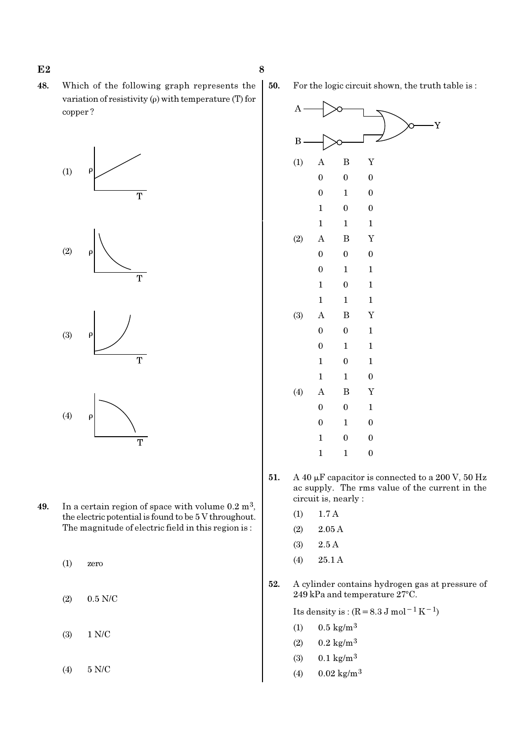48. Which of the following graph represents the variation of resistivity (ρ) with temperature (T) for copper ?









49. In a certain region of space with volume  $0.2 \text{ m}^3$ , the electric potential is found to be 5 V throughout. The magnitude of electric field in this region is :

(1) zero

(2) 0.5 N/C

(3) 1 N/C

(4) 5 N/C

50. For the logic circuit shown, the truth table is :



- 51. A 40  $\mu$ F capacitor is connected to a 200 V, 50 Hz ac supply. The rms value of the current in the circuit is, nearly :
	- (1) 1.7 A
	- (2) 2.05 A
	- (3) 2.5 A
	- (4) 25.1 A
- 52. A cylinder contains hydrogen gas at pressure of 249 kPa and temperature 27°C.

Its density is :  $(R=8.3 \text{ J mol}^{-1}\text{ K}^{-1})$ 

- (1)  $0.5 \text{ kg/m}^3$
- $(2)$  0.2 kg/m<sup>3</sup>
- (3)  $0.1 \text{ kg/m}^3$
- (4)  $0.02 \text{ kg/m}^3$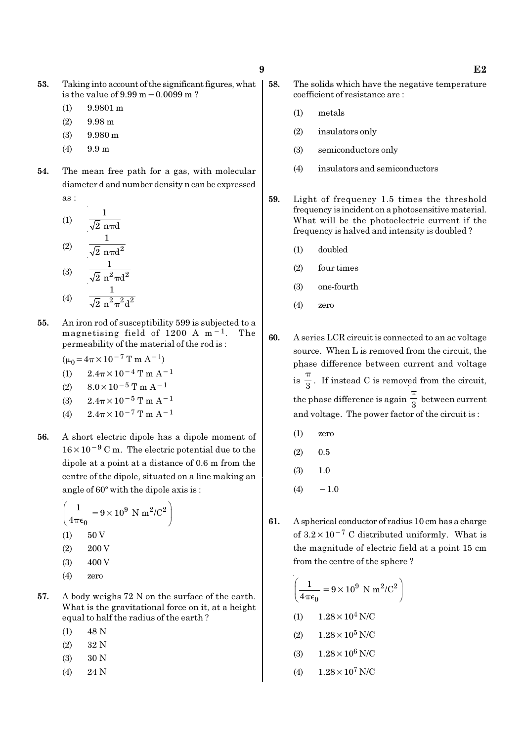- 53. Taking into account of the significant figures, what is the value of 9.99 m−0.0099 m ?
	- (1) 9.9801 m
	- (2) 9.98 m
	- (3) 9.980 m
	- (4) 9.9 m
- 54. The mean free path for a gas, with molecular diameter d and number density n can be expressed as :

(1) 
$$
\frac{1}{\sqrt{2} \text{ n} \pi d}
$$
  
\n(2)  $\frac{1}{\sqrt{2} \text{ n} \pi d^2}$   
\n(3)  $\frac{1}{\sqrt{2} \text{ n}^2 \pi d^2}$   
\n(4)  $\frac{1}{\sqrt{2} \text{ n}^2 \pi^2 d^2}$ 

55. An iron rod of susceptibility 599 is subjected to a magnetising field of 1200 A m−1. The permeability of the material of the rod is :

$$
(\mu_0 = 4\pi \times 10^{-7} \text{ T m A}^{-1})
$$

- (1)  $2.4\pi \times 10^{-4}$  T m A<sup>-1</sup>
- (2)  $8.0 \times 10^{-5}$  T m A<sup>-1</sup>
- (3)  $2.4\pi \times 10^{-5}$  T m A<sup>-1</sup>
- (4)  $2.4\pi \times 10^{-7}$  T m A<sup>-1</sup>
- 56. A short electric dipole has a dipole moment of 16×10−<sup>9</sup> C m. The electric potential due to the dipole at a point at a distance of 0.6 m from the centre of the dipole, situated on a line making an angle of  $60^\circ$  with the dipole axis is :

$$
\left(\frac{1}{4\pi\epsilon_0} = 9 \times 10^9 \text{ N m}^2/\text{C}^2\right)
$$
  
(1) 50 V  
(2) 200 V  
(3) 400 V

- (4) zero
- 57. A body weighs 72 N on the surface of the earth. What is the gravitational force on it, at a height equal to half the radius of the earth ?
	- (1) 48 N
	- (2) 32 N
	- (3) 30 N
	- (4) 24 N
- 58. The solids which have the negative temperature coefficient of resistance are :
	- (1) metals
	- (2) insulators only
	- (3) semiconductors only
	- (4) insulators and semiconductors
- 59. Light of frequency 1.5 times the threshold frequency is incident on a photosensitive material. What will be the photoelectric current if the frequency is halved and intensity is doubled ?
	- (1) doubled
	- (2) four times
	- (3) one-fourth
	- (4) zero

60. A series LCR circuit is connected to an ac voltage source. When L is removed from the circuit, the phase difference between current and voltage  $is \frac{1}{3}$ π . If instead C is removed from the circuit, the phase difference is again  $\frac{1}{3}$ π between current and voltage. The power factor of the circuit is :

- (1) zero
- $(2)$  0.5
- (3) 1.0
- $(4) -1.0$
- 61. A spherical conductor of radius 10 cm has a charge of  $3.2 \times 10^{-7}$  C distributed uniformly. What is the magnitude of electric field at a point 15 cm from the centre of the sphere ?

$$
\left(\frac{1}{4\pi\epsilon_0} = 9 \times 10^9 \text{ N m}^2/\text{C}^2\right)
$$

- (1)  $1.28 \times 10^4$  N/C
- (2)  $1.28 \times 10^5$  N/C
- (3)  $1.28 \times 10^6$  N/C
- (4)  $1.28 \times 10^7$  N/C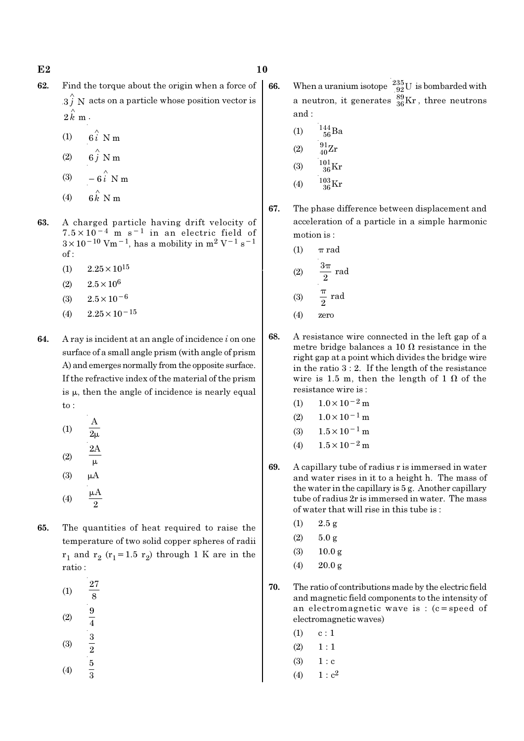- 62. Find the torque about the origin when a force of  $3 \hat{j}$  N acts on a particle whose position vector is  $2 \hat{k}$  m  $\cdot$ 
	- (1)  $6\hat{i}$  N m
	- (2)  $6\hat{j}$  N m
	- $(3)$ ∧ −
	- $(4)$ ∧
- 63. A charged particle having drift velocity of 7.5×10−4 m s−1 in an electric field of  $3 \times 10^{-10}$  Vm<sup>-1</sup>, has a mobility in m<sup>2</sup> V<sup>-1</sup> s<sup>-1</sup> of :
	- $(1)$  2.25  $\times$  10<sup>15</sup>
	- (2)  $2.5 \times 10^6$
	- (3)  $2.5 \times 10^{-6}$
	- (4)  $2.25 \times 10^{-15}$
- **64.** A ray is incident at an angle of incidence  $i$  on one surface of a small angle prism (with angle of prism A) and emerges normally from the opposite surface. If the refractive index of the material of the prism is  $\mu$ , then the angle of incidence is nearly equal to :
	- (1) A  $\overline{2\mu}$ (2) 2A  $\mu$  $(3)$   $\mu$ A
	- (4) A  $\overline{2}$ µ
- 65. The quantities of heat required to raise the temperature of two solid copper spheres of radii  $\rm r_1$  and  $\rm r_2$  ( $\rm r_1$ =1.5  $\rm r_2$ ) through 1 K are in the ratio :
	- (1) 27 8 (2)  $\frac{9}{4}$
	- (3)  $\frac{3}{2}$
	- (4) 5 3
- **66.** When a uranium isotope  $^{235}_{92}$ U is bombarded with a neutron, it generates  $^{89}_{36}\text{Kr}$  , three neutrons and :
	- (1)  $\frac{144}{56}Ba$
	- (2)  $\frac{91}{40}Zr$
	- (3)  $\frac{101}{36}$ Kr
	- (4)  $\frac{103}{36}$ Kr
- 67. The phase difference between displacement and acceleration of a particle in a simple harmonic motion is :
	- (1)  $\pi$  rad  $(2)$  rad  $\overline{2}$ π (3)  $\frac{1}{2}$  rad 2 π
	- (4) zero
- 68. A resistance wire connected in the left gap of a metre bridge balances a 10  $\Omega$  resistance in the right gap at a point which divides the bridge wire in the ratio 3 : 2. If the length of the resistance wire is 1.5 m, then the length of 1  $\Omega$  of the resistance wire is :
	- (1)  $1.0 \times 10^{-2}$  m
	- $(2)$  1.0×10<sup>-1</sup> m
	- (3)  $1.5 \times 10^{-1}$  m
	- (4)  $1.5 \times 10^{-2}$  m
- 69. A capillary tube of radius r is immersed in water and water rises in it to a height h. The mass of the water in the capillary is 5 g. Another capillary tube of radius 2r is immersed in water. The mass of water that will rise in this tube is :
	- $(1)$  2.5 g
	- (2)  $5.0 g$
	- $(3)$  10.0 g
	- $(4)$  20.0 g
- 70. The ratio of contributions made by the electric field and magnetic field components to the intensity of an electromagnetic wave is : (c=speed of electromagnetic waves)
	- $(1)$  c : 1
	- $(2) \quad 1 : 1$
	- $(3) 1 : c$
	- (4)  $1 : c^2$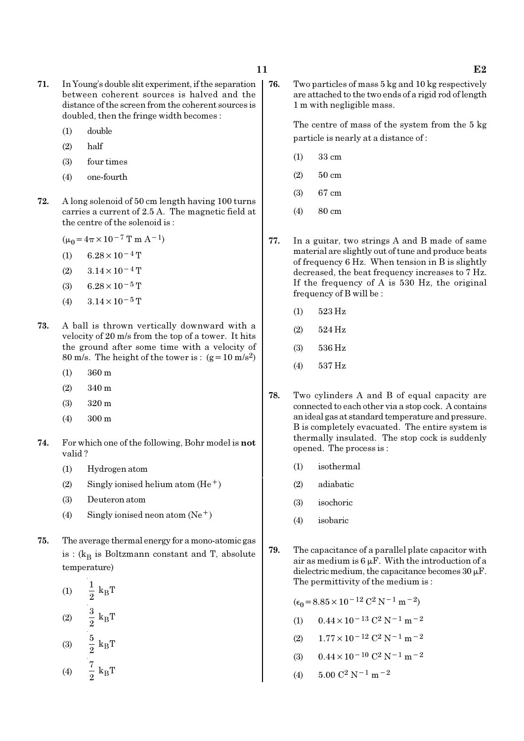- 71. In Young's double slit experiment, if the separation between coherent sources is halved and the distance of the screen from the coherent sources is doubled, then the fringe width becomes :
	- (1) double
	- (2) half
	- (3) four times
	- (4) one-fourth
- 72. A long solenoid of 50 cm length having 100 turns carries a current of 2.5 A. The magnetic field at the centre of the solenoid is :
	- $(\mu_0=4\pi\times10^{-7}$  T m A<sup>-1</sup>)
	- (1) 6.28 × 10<sup>-4</sup> T
	- $(2)$  3.14 × 10<sup>-4</sup> T
	- (3) 6.28 $\times$ 10<sup>-5</sup> T
	- (4)  $3.14 \times 10^{-5}$  T
- 73. A ball is thrown vertically downward with a velocity of 20 m/s from the top of a tower. It hits the ground after some time with a velocity of 80 m/s. The height of the tower is :  $(g=10 \text{ m/s}^2)$ 
	- (1) 360 m
	- (2) 340 m
	- (3) 320 m
	- (4) 300 m
- 74. For which one of the following, Bohr model is not valid ?
	- (1) Hydrogen atom
	- (2) Singly ionised helium atom  $(He<sup>+</sup>)$
	- (3) Deuteron atom
	- (4) Singly ionised neon atom  $(Ne^+)$
- 75. The average thermal energy for a mono-atomic gas is : ( $\rm{k_{B}}$  is Boltzmann constant and T, absolute temperature)
	- (1)  $-\frac{1}{9}k_B$  $\frac{1}{2} k_B T$  $(2)$   $\frac{3}{8}$  k<sub>B</sub>  $\frac{3}{2}$  k<sub>B</sub>T (3)  $\frac{3}{9}$  k<sub>B</sub>  $\frac{5}{2}$  k<sub>B</sub>T
	- (4)  $\frac{1}{2}$  k<sub>B</sub>  $\frac{7}{2}$  k<sub>B</sub>T

76. Two particles of mass 5 kg and 10 kg respectively are attached to the two ends of a rigid rod of length 1 m with negligible mass.

> The centre of mass of the system from the 5 kg particle is nearly at a distance of :

- (1) 33 cm
- (2) 50 cm
- (3) 67 cm
- (4) 80 cm
- 77. In a guitar, two strings A and B made of same material are slightly out of tune and produce beats of frequency 6 Hz. When tension in B is slightly decreased, the beat frequency increases to 7 Hz. If the frequency of A is 530 Hz, the original frequency of B will be :
	- (1) 523 Hz
	- (2) 524 Hz
	- (3) 536 Hz
	- (4) 537 Hz
- 78. Two cylinders A and B of equal capacity are connected to each other via a stop cock. A contains an ideal gas at standard temperature and pressure. B is completely evacuated. The entire system is thermally insulated. The stop cock is suddenly opened. The process is :
	- (1) isothermal
	- (2) adiabatic
	- (3) isochoric
	- (4) isobaric
- 79. The capacitance of a parallel plate capacitor with air as medium is  $6 \mu$ F. With the introduction of a dielectric medium, the capacitance becomes  $30 \mu$ F. The permittivity of the medium is :

$$
(\epsilon_0 = 8.85 \times 10^{-12} \, \text{C}^2 \, \text{N}^{-1} \, \text{m}^{-2})
$$

- (1)  $0.44 \times 10^{-13}$  C<sup>2</sup> N<sup>-1</sup> m<sup>-2</sup>
- (2)  $1.77 \times 10^{-12}$  C<sup>2</sup> N<sup>-1</sup> m<sup>-2</sup>
- (3)  $0.44 \times 10^{-10}$  C<sup>2</sup> N<sup>-1</sup> m<sup>-2</sup>
- (4)  $5.00 \text{ C}^2 \text{ N}^{-1} \text{ m}^{-2}$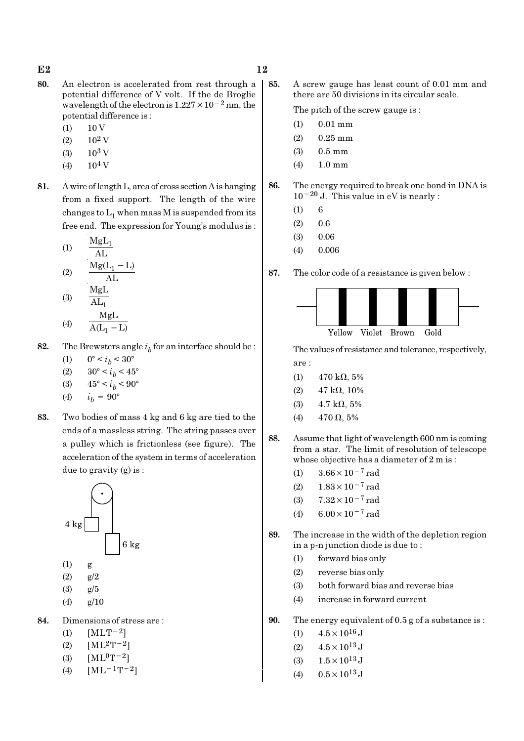$E2$  and  $12$ 

- 80. An electron is accelerated from rest through a potential difference of V volt. If the de Broglie wavelength of the electron is  $1.227 \times 10^{-2}$  nm, the potential difference is :
	- $(1)$  10 V
	- $(2)$  10<sup>2</sup> V
	- $(3)$  10<sup>3</sup> V
	- $(4)$  10<sup>4</sup> V
- 81. A wire of length L, area of cross section A is hanging from a fixed support. The length of the wire changes to  $\mathrm{L}_1$  when mass M is suspended from its free end. The expression for Young's modulus is :

$$
(1) \qquad \frac{MgL_1}{AL}
$$

$$
(2) \qquad \frac{Mg(L_1 - L)}{AL}
$$
  
MgL

$$
(3) \quad \overline{AL_1}
$$
  

$$
(4) \quad \overline{MgL}
$$
  

$$
\overline{A(L_1 - L)}
$$

- 82. The Brewsters angle  $i_b$  for an interface should be :
	- (1)  $0^{\circ} < i_b < 30^{\circ}$
	- (2)  $30^{\circ} < i_b < 45^{\circ}$
	- (3)  $45^{\circ} < i_b < 90^{\circ}$
	- (4)  $i_h = 90^{\circ}$
- 83. Two bodies of mass 4 kg and 6 kg are tied to the ends of a massless string. The string passes over a pulley which is frictionless (see figure). The acceleration of the system in terms of acceleration due to gravity (g) is :



- (1) g
- (2) g/2
- (3) g/5
- $(4)$  g/10
- 84. Dimensions of stress are :
	- (1)  $[MLT^{-2}]$
	- (2)  $[ML^2T^{-2}]$
	- (3)  $[ML^0T^{-2}]$
	- (4)  $[ML^{-1}T^{-2}]$

85. A screw gauge has least count of 0.01 mm and there are 50 divisions in its circular scale.

The pitch of the screw gauge is :

- (1) 0.01 mm
- (2) 0.25 mm
- (3) 0.5 mm
- (4) 1.0 mm

86. The energy required to break one bond in DNA is  $10^{-20}$  J. This value in eV is nearly :

- $(1) 6$
- $(2)$  0.6
- $(3)$  0.06
- (4) 0.006

87. The color code of a resistance is given below :



The values of resistance and tolerance, respectively, are :

- (1)  $470 \text{ k}\Omega$ , 5%
- (2)  $47 \text{ k}\Omega$ , 10%
- (3)  $4.7 \text{ k}\Omega, 5\%$
- (4)  $470 \Omega, 5\%$
- 88. Assume that light of wavelength 600 nm is coming from a star. The limit of resolution of telescope whose objective has a diameter of 2 m is :
	- (1)  $3.66 \times 10^{-7}$  rad
	- (2)  $1.83 \times 10^{-7}$  rad
	- (3) 7.32×10−7 rad
	- (4)  $6.00 \times 10^{-7}$  rad
- 89. The increase in the width of the depletion region in a p-n junction diode is due to :
	- (1) forward bias only
	- (2) reverse bias only
	- (3) both forward bias and reverse bias
	- (4) increase in forward current
- 90. The energy equivalent of 0.5 g of a substance is :
	- (1)  $4.5 \times 10^{16}$  J
	- (2)  $4.5 \times 10^{13}$  J
	- (3)  $1.5 \times 10^{13}$  J
	- (4)  $0.5 \times 10^{13}$  J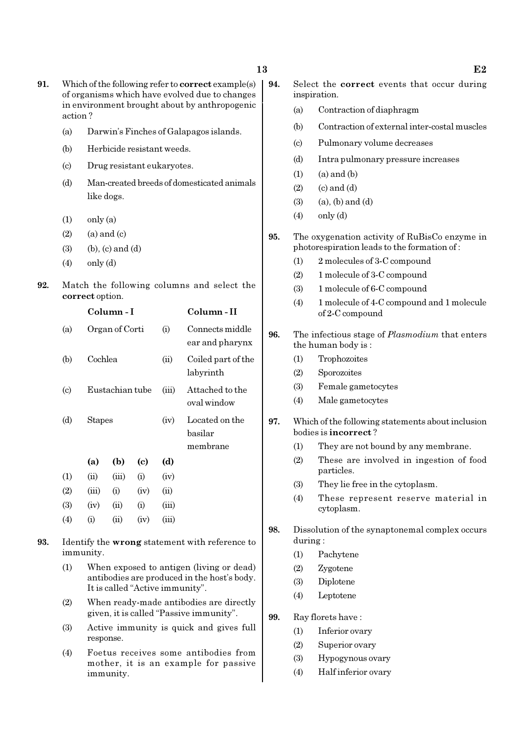- 91. Which of the following refer to correct example(s) of organisms which have evolved due to changes in environment brought about by anthropogenic action ?
	- (a) Darwin's Finches of Galapagos islands.
	- (b) Herbicide resistant weeds.
	- (c) Drug resistant eukaryotes.
	- (d) Man-created breeds of domesticated animals like dogs.
	- $(1)$  only  $(a)$
	- $(2)$   $(a)$  and  $(c)$
	- $(3)$  (b),  $(c)$  and  $(d)$
	- $(4)$  only  $(d)$
- 92. Match the following columns and select the correct option.

|                             |               | Column - I      |      | Column - II |                                       |
|-----------------------------|---------------|-----------------|------|-------------|---------------------------------------|
| (a)                         |               | Organ of Corti  |      | (i)         | Connects middle<br>ear and pharynx    |
| (b)                         | Cochlea       |                 |      | (ii)        | Coiled part of the<br>labyrinth       |
| $\left( \mathrm{c} \right)$ |               | Eustachian tube |      | (iii)       | Attached to the<br>oval window        |
| (d)                         | <b>Stapes</b> |                 |      | (iv)        | Located on the<br>basilar<br>membrane |
|                             | (a)           | (b)             | (c)  | (d)         |                                       |
| (1)                         | (ii)          | (iii)           | (i)  | (iv)        |                                       |
| (2)                         | (iii)         | (i)             | (iv) | (ii)        |                                       |
| (3)                         | (iv)          | (ii)            | (i)  | (iii)       |                                       |
| $\left( 4\right)$           | (i)           | (ii)            | (iv) | (iii)       |                                       |
|                             |               |                 |      |             |                                       |

- 93. Identify the wrong statement with reference to immunity.
	- (1) When exposed to antigen (living or dead) antibodies are produced in the host's body. It is called "Active immunity".
	- (2) When ready-made antibodies are directly given, it is called "Passive immunity".
	- (3) Active immunity is quick and gives full response.
	- (4) Foetus receives some antibodies from mother, it is an example for passive immunity.
- 94. Select the correct events that occur during inspiration.
	- (a) Contraction of diaphragm
	- (b) Contraction of external inter-costal muscles
	- (c) Pulmonary volume decreases
	- (d) Intra pulmonary pressure increases
	- $(1)$   $(a)$  and  $(b)$
	- $(2)$   $(c)$  and  $(d)$
	- $(3)$   $(a)$ ,  $(b)$  and  $(d)$
	- (4) only (d)
- 95. The oxygenation activity of RuBisCo enzyme in photorespiration leads to the formation of :
	- (1) 2 molecules of 3-C compound
	- (2) 1 molecule of 3-C compound
	- (3) 1 molecule of 6-C compound
	- (4) 1 molecule of 4-C compound and 1 molecule of 2-C compound
- 96. The infectious stage of *Plasmodium* that enters the human body is :
	- (1) Trophozoites
	- (2) Sporozoites
	- (3) Female gametocytes
	- (4) Male gametocytes
- 97. Which of the following statements about inclusion bodies is incorrect ?
	- (1) They are not bound by any membrane.
	- (2) These are involved in ingestion of food particles.
	- (3) They lie free in the cytoplasm.
	- (4) These represent reserve material in cytoplasm.
- 98. Dissolution of the synaptonemal complex occurs during :
	- (1) Pachytene
	- (2) Zygotene
	- (3) Diplotene
	- (4) Leptotene
- 99. Ray florets have :
	- (1) Inferior ovary
	- (2) Superior ovary
	- (3) Hypogynous ovary
	- (4) Half inferior ovary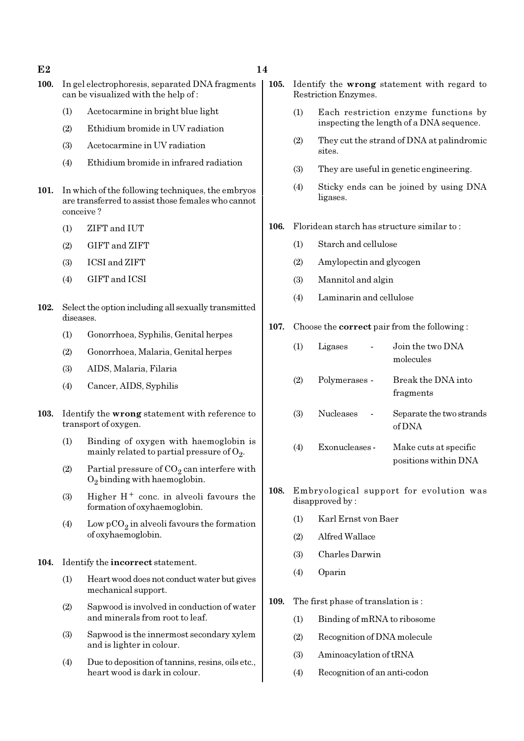#### $E2$  and  $14$

- 100. In gel electrophoresis, separated DNA fragments can be visualized with the help of :
	- (1) Acetocarmine in bright blue light
	- (2) Ethidium bromide in UV radiation
	- (3) Acetocarmine in UV radiation
	- (4) Ethidium bromide in infrared radiation
- 101. In which of the following techniques, the embryos are transferred to assist those females who cannot conceive ?
	- (1) ZIFT and IUT
	- (2) GIFT and ZIFT
	- (3) ICSI and ZIFT
	- (4) GIFT and ICSI
- 102. Select the option including all sexually transmitted diseases.
	- (1) Gonorrhoea, Syphilis, Genital herpes
	- (2) Gonorrhoea, Malaria, Genital herpes
	- (3) AIDS, Malaria, Filaria
	- (4) Cancer, AIDS, Syphilis
- 103. Identify the wrong statement with reference to transport of oxygen.
	- (1) Binding of oxygen with haemoglobin is mainly related to partial pressure of  $\mathrm{O}_2$ .
	- (2) Partial pressure of  $CO_2$  can interfere with  $O_2$  binding with haemoglobin.
	- (3) Higher  $H^+$  conc. in alveoli favours the formation of oxyhaemoglobin.
	- (4) Low  $pCO_2$  in alveoli favours the formation of oxyhaemoglobin.

#### 104. Identify the incorrect statement.

- (1) Heart wood does not conduct water but gives mechanical support.
- (2) Sapwood is involved in conduction of water and minerals from root to leaf.
- (3) Sapwood is the innermost secondary xylem and is lighter in colour.
- (4) Due to deposition of tannins, resins, oils etc., heart wood is dark in colour.
- 105. Identify the wrong statement with regard to Restriction Enzymes.
	- (1) Each restriction enzyme functions by inspecting the length of a DNA sequence.
	- (2) They cut the strand of DNA at palindromic sites.
	- (3) They are useful in genetic engineering.
	- (4) Sticky ends can be joined by using DNA ligases.
- 106. Floridean starch has structure similar to :
	- (1) Starch and cellulose
	- (2) Amylopectin and glycogen
	- (3) Mannitol and algin
	- (4) Laminarin and cellulose

#### 107. Choose the correct pair from the following :

| (1) | Ligases          | Join the two DNA<br>molecules                 |
|-----|------------------|-----------------------------------------------|
| (2) | Polymerases -    | Break the DNA into<br>fragments               |
| (3) | <b>Nucleases</b> | Separate the two strands<br>of DNA            |
| (4) | Exonucleases -   | Make cuts at specific<br>positions within DNA |

- 108. Embryological support for evolution was disapproved by :
	- (1) Karl Ernst von Baer
	- (2) Alfred Wallace
	- (3) Charles Darwin
	- (4) Oparin
- 109. The first phase of translation is :
	- (1) Binding of mRNA to ribosome
	- (2) Recognition of DNA molecule
	- (3) Aminoacylation of tRNA
	- (4) Recognition of an anti-codon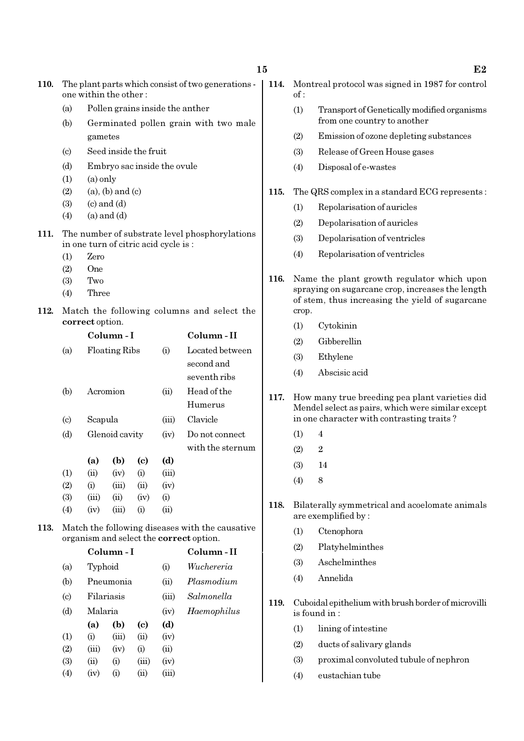| 110. | The plant parts which consist of two generations -<br>one within the other: |                                       |                                    |                             |              |                                                 |      | Mon<br>of:   |
|------|-----------------------------------------------------------------------------|---------------------------------------|------------------------------------|-----------------------------|--------------|-------------------------------------------------|------|--------------|
|      | (a)                                                                         |                                       |                                    |                             |              | Pollen grains inside the anther                 |      | (1)          |
|      | (b)                                                                         | Germinated pollen grain with two male |                                    |                             |              |                                                 |      |              |
|      |                                                                             | gametes                               |                                    | (2)                         |              |                                                 |      |              |
|      | $\left( \text{c} \right)$                                                   |                                       |                                    | Seed inside the fruit       |              |                                                 |      | (3)          |
|      | (d)                                                                         |                                       |                                    | Embryo sac inside the ovule |              |                                                 |      | (4)          |
|      | (1)                                                                         | $(a)$ only                            |                                    |                             |              |                                                 |      |              |
|      | (2)                                                                         |                                       | $(a)$ , $(b)$ and $(c)$            |                             |              |                                                 | 115. | The 0        |
|      | (3)<br>(4)                                                                  |                                       | $(c)$ and $(d)$<br>$(a)$ and $(d)$ |                             |              |                                                 |      | (1)          |
|      |                                                                             |                                       |                                    |                             |              |                                                 |      | (2)          |
| 111. |                                                                             | in one turn of citric acid cycle is:  |                                    |                             |              | The number of substrate level phosphorylations  |      | (3)          |
|      | (1)                                                                         | Zero                                  |                                    |                             |              |                                                 |      | (4)          |
|      | (2)                                                                         | One                                   |                                    |                             |              |                                                 |      |              |
|      | (3)                                                                         | Two                                   |                                    |                             |              |                                                 | 116. | Nam<br>spray |
|      | (4)                                                                         | Three                                 |                                    |                             |              |                                                 |      | of st        |
| 112. |                                                                             |                                       |                                    |                             |              | Match the following columns and select the      |      | crop.        |
|      |                                                                             | correct option.                       | Column-I                           |                             |              | Column-II                                       |      | (1)          |
|      | (a)                                                                         |                                       | <b>Floating Ribs</b>               |                             | (i)          | Located between                                 |      | (2)          |
|      |                                                                             |                                       |                                    |                             |              | second and                                      |      | (3)          |
|      |                                                                             |                                       |                                    |                             |              | seventh ribs                                    |      | (4)          |
|      | (b)                                                                         |                                       | Acromion                           |                             | (ii)         | Head of the                                     |      |              |
|      |                                                                             |                                       |                                    |                             |              | Humerus                                         | 117. | How<br>Men   |
|      | $\left( \mathrm{c} \right)$                                                 |                                       | Scapula                            |                             |              | Clavicle                                        |      | in on        |
|      | (d)                                                                         |                                       | Glenoid cavity                     |                             | (iv)         | Do not connect                                  |      | (1)          |
|      |                                                                             |                                       |                                    |                             |              | with the sternum                                |      | (2)          |
|      |                                                                             | (a)                                   | (b)                                | $\left( \mathrm{e}\right)$  | (d)          |                                                 |      | (3)          |
|      | (1)                                                                         | (ii)                                  | (iv)                               | (i)                         | (iii)        |                                                 |      | (4)          |
|      | (2)<br>(3)                                                                  | (i)<br>(iii)                          | (iii)<br>(ii)                      | (ii)<br>(iv)                | (iv)<br>(i)  |                                                 |      |              |
|      | (4)                                                                         | (iv)                                  | (iii)                              | (i)                         | (ii)         |                                                 | 118. | Bilat        |
| 113. |                                                                             |                                       |                                    |                             |              | Match the following diseases with the causative |      | are e        |
|      |                                                                             |                                       |                                    |                             |              | organism and select the <b>correct</b> option.  |      | (1)          |
|      |                                                                             |                                       | Column-I                           |                             |              | Column-II                                       |      | (2)          |
|      | (a)                                                                         | Typhoid                               |                                    |                             | (i)          | Wuchereria                                      |      | (3)          |
|      | (b)                                                                         |                                       | Pneumonia                          |                             | (ii)         | Plasmodium                                      |      | (4)          |
|      | $\left( \mathrm{c}\right)$                                                  |                                       | Filariasis                         |                             | (iii)        | Salmonella                                      | 119. | Cubc         |
|      | (d)                                                                         | Malaria                               |                                    |                             | (iv)         | Haemophilus                                     |      | is for       |
|      |                                                                             | (a)                                   | (b)                                | $\left( \mathbf{c} \right)$ | (d)          |                                                 |      | (1)          |
|      | (1)                                                                         | (i)                                   | (iii)                              | (ii)                        | (iv)         |                                                 |      | (2)          |
|      | (2)<br>(3)                                                                  | (iii)<br>(ii)                         | (iv)<br>(i)                        | (i)<br>(iii)                | (ii)<br>(iv) |                                                 |      | (3)          |
|      | (4)                                                                         | (iv)                                  | (i)                                | (ii)                        | (iii)        |                                                 |      | (4)          |
|      |                                                                             |                                       |                                    |                             |              |                                                 |      |              |

| 15 |      | F2                                                                                                                                                         |  |  |  |
|----|------|------------------------------------------------------------------------------------------------------------------------------------------------------------|--|--|--|
|    | 114. | Montreal protocol was signed in 1987 for control<br>$\alpha$ f:                                                                                            |  |  |  |
|    |      | (1)<br>Transport of Genetically modified organisms<br>from one country to another                                                                          |  |  |  |
|    |      | Emission of ozone depleting substances<br>(2)                                                                                                              |  |  |  |
|    |      | (3)<br>Release of Green House gases                                                                                                                        |  |  |  |
|    |      | (4)<br>Disposal of e-wastes                                                                                                                                |  |  |  |
|    | 115. | The QRS complex in a standard ECG represents:                                                                                                              |  |  |  |
|    |      | Repolarisation of auricles<br>(1)                                                                                                                          |  |  |  |
|    |      | Depolarisation of auricles<br>(2)                                                                                                                          |  |  |  |
|    |      | Depolarisation of ventricles<br>(3)                                                                                                                        |  |  |  |
|    |      | Repolarisation of ventricles<br>(4)                                                                                                                        |  |  |  |
|    | 116. | Name the plant growth regulator which upon<br>spraying on sugarcane crop, increases the length<br>of stem, thus increasing the yield of sugarcane<br>crop. |  |  |  |
|    |      | (1)<br>Cytokinin                                                                                                                                           |  |  |  |

- **Gibberellin**
- Ethylene
- Abscisic acid
- many true breeding pea plant varieties did del select as pairs, which were similar except ie character with contrasting traits?
	- $\overline{4}$
	- $\overline{2}$
	- (3) 14
	- 8
- terally symmetrical and acoelomate animals xemplified by :
	- Ctenophora
	- **Platyhelminthes**
	- **Aschelminthes**
	- (4) Annelida
- hidal epithelium with brush border of microvilli  $\mathop{\text{and}}$  in :
	- lining of intestine
	- ducts of salivary glands
	- (3) proximal convoluted tubule of nephron
	- (4) eustachian tube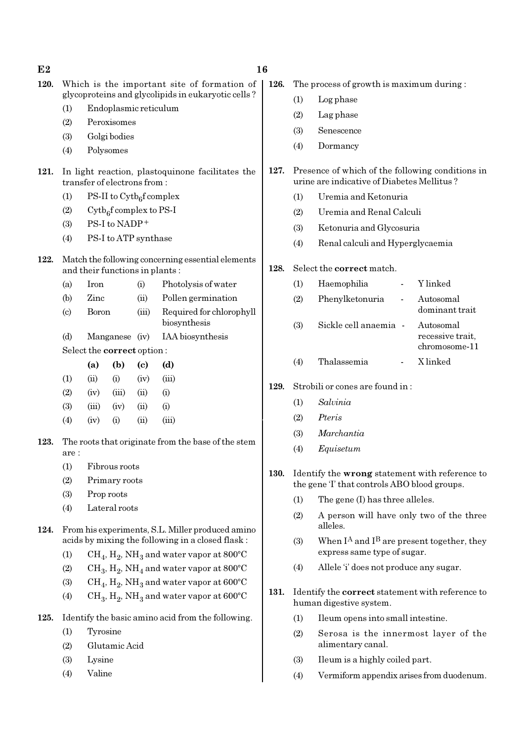| E2   |                                                                                                   |                                                                                     |                                      |                             |                                                                                                      | 16          |                                 |                                                                                                |                                   |  |
|------|---------------------------------------------------------------------------------------------------|-------------------------------------------------------------------------------------|--------------------------------------|-----------------------------|------------------------------------------------------------------------------------------------------|-------------|---------------------------------|------------------------------------------------------------------------------------------------|-----------------------------------|--|
| 120. | Which is the important site of formation of<br>glycoproteins and glycolipids in eukaryotic cells? |                                                                                     |                                      |                             |                                                                                                      | 126.        |                                 | The process of growth is maximum during:                                                       |                                   |  |
|      |                                                                                                   |                                                                                     |                                      |                             |                                                                                                      |             | (1)                             | Log phase                                                                                      |                                   |  |
|      | Endoplasmic reticulum<br>(1)                                                                      |                                                                                     |                                      |                             |                                                                                                      |             | (2)                             | Lag phase                                                                                      |                                   |  |
|      |                                                                                                   | Peroxisomes<br>(2)<br>Golgi bodies                                                  |                                      |                             |                                                                                                      |             |                                 | Senescence                                                                                     |                                   |  |
|      | (3)                                                                                               |                                                                                     | Polysomes                            |                             |                                                                                                      |             | (4)                             | Dormancy                                                                                       |                                   |  |
|      | (4)                                                                                               |                                                                                     |                                      |                             |                                                                                                      |             |                                 |                                                                                                |                                   |  |
| 121. |                                                                                                   |                                                                                     | transfer of electrons from:          |                             | In light reaction, plastoquinone facilitates the                                                     | 127.        |                                 | Presence of which of the following conditions in<br>urine are indicative of Diabetes Mellitus? |                                   |  |
|      | (1)                                                                                               |                                                                                     | PS-II to $\mathrm{Cytb}_6$ f complex |                             |                                                                                                      |             | (1)                             | Uremia and Ketonuria                                                                           |                                   |  |
|      | (2)                                                                                               | $Cytb6f complex to PS-I$                                                            |                                      |                             |                                                                                                      |             |                                 | Uremia and Renal Calculi                                                                       |                                   |  |
|      | (3)                                                                                               |                                                                                     | PS-I to NADP+                        |                             |                                                                                                      |             | (3)                             | Ketonuria and Glycosuria                                                                       |                                   |  |
|      | (4)                                                                                               |                                                                                     | PS-I to ATP synthase                 |                             |                                                                                                      |             | (4)                             | Renal calculi and Hyperglycaemia                                                               |                                   |  |
| 122. |                                                                                                   | Match the following concerning essential elements<br>and their functions in plants: |                                      |                             |                                                                                                      |             |                                 | Select the correct match.                                                                      |                                   |  |
|      | (a)                                                                                               | Iron                                                                                |                                      | (i)                         | Photolysis of water                                                                                  |             | (1)                             | Haemophilia<br>$\overline{\phantom{a}}$                                                        | Y linked                          |  |
|      | (b)                                                                                               | Zinc                                                                                | (ii)                                 |                             | Pollen germination                                                                                   |             | (2)                             | Phenylketonuria<br>$\blacksquare$                                                              | Autosomal                         |  |
|      | $\left( \mathrm{c}\right)$                                                                        | Boron<br>(iii)<br>Manganese (iv)                                                    |                                      |                             | Required for chlorophyll                                                                             |             |                                 |                                                                                                | dominant trait                    |  |
|      |                                                                                                   |                                                                                     |                                      |                             | biosynthesis                                                                                         |             | (3)                             | Sickle cell anaemia -                                                                          | Autosomal                         |  |
|      | (d)                                                                                               |                                                                                     |                                      |                             | IAA biosynthesis                                                                                     |             |                                 |                                                                                                | recessive trait,<br>chromosome-11 |  |
|      |                                                                                                   | Select the correct option:                                                          |                                      |                             |                                                                                                      |             |                                 | Thalassemia                                                                                    | X linked                          |  |
|      |                                                                                                   | (a)                                                                                 | (b)                                  | $\left( \mathbf{c} \right)$ | (d)                                                                                                  |             | (4)                             |                                                                                                |                                   |  |
|      | (1)                                                                                               | (ii)                                                                                | (i)                                  | (iv)                        | (iii)                                                                                                | 129.        | Strobili or cones are found in: |                                                                                                |                                   |  |
|      | (2)<br>(3)                                                                                        | (iv)                                                                                | (iii)                                | (ii)<br>(ii)                | (i)<br>(i)                                                                                           |             | (1)                             | Salvinia                                                                                       |                                   |  |
|      | (4)                                                                                               | (iii)<br>(iv)                                                                       | (iv)<br>(i)                          | (ii)                        | (iii)                                                                                                |             | (2)                             | Pteris                                                                                         |                                   |  |
|      |                                                                                                   |                                                                                     |                                      |                             |                                                                                                      |             | (3)                             | Marchantia                                                                                     |                                   |  |
| 123. | are :                                                                                             |                                                                                     |                                      |                             | The roots that originate from the base of the stem                                                   |             | (4)                             | Equisetum                                                                                      |                                   |  |
|      | (1)                                                                                               |                                                                                     | Fibrous roots                        |                             |                                                                                                      |             |                                 | Identify the wrong statement with reference to                                                 |                                   |  |
|      | (2)                                                                                               |                                                                                     | Primary roots                        |                             |                                                                                                      | <b>130.</b> |                                 | the gene T that controls ABO blood groups.                                                     |                                   |  |
|      | (3)                                                                                               |                                                                                     | Prop roots                           |                             |                                                                                                      |             | (1)                             | The gene (I) has three alleles.                                                                |                                   |  |
|      | (4)                                                                                               |                                                                                     | Lateral roots                        |                             |                                                                                                      |             | (2)                             | A person will have only two of the three                                                       |                                   |  |
| 124. |                                                                                                   |                                                                                     |                                      |                             | From his experiments, S.L. Miller produced amino<br>acids by mixing the following in a closed flask: |             | (3)                             | alleles.<br>When $I^A$ and $I^B$ are present together, they                                    |                                   |  |
|      | (1)                                                                                               |                                                                                     |                                      |                             | $CH_4$ , $H_2$ , NH <sub>3</sub> and water vapor at 800°C                                            |             |                                 | express same type of sugar.                                                                    |                                   |  |
|      | (2)                                                                                               |                                                                                     |                                      |                             | $CH_3$ , $H_2$ , NH <sub>4</sub> and water vapor at 800°C                                            |             | (4)                             | Allele 'i' does not produce any sugar.                                                         |                                   |  |

(3)  $\mathrm{CH}_4, \mathrm{H}_2, \mathrm{NH}_3$  and water vapor at 600°C (4) CH<sub>3</sub>, H<sub>2</sub>, NH<sub>3</sub> and water vapor at  $600^{\circ}$ C

125. Identify the basic amino acid from the following.

(1) Tyrosine

(3) Lysine (4) Valine

(2) Glutamic Acid

- 131. Identify the **correct** statement with reference to human digestive system.
	- (1) Ileum opens into small intestine.
	- (2) Serosa is the innermost layer of the alimentary canal.

- (3) Ileum is a highly coiled part.
- (4) Vermiform appendix arises from duodenum.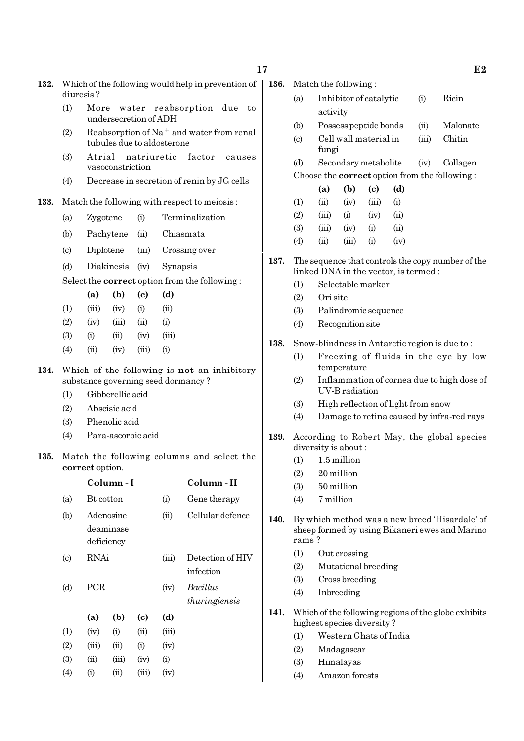| 132. Which of the following would help in prevention of |
|---------------------------------------------------------|
| diuresis?                                               |

- (1) More water reabsorption due to undersecretion of ADH
- (2) Reabsorption of Na<sup>+</sup> and water from renal tubules due to aldosterone
- (3) Atrial natriuretic factor causes vasoconstriction
- (4) Decrease in secretion of renin by JG cells

#### 133. Match the following with respect to meiosis :

- (a) Zygotene (i) Terminalization
- (b) Pachytene (ii) Chiasmata
- (c) Diplotene (iii) Crossing over
- (d) Diakinesis (iv) Synapsis

Select the correct option from the following :

|                   | (a)   | (b)   | (c)   | (d)       |
|-------------------|-------|-------|-------|-----------|
| (1)               | (iii) | (iv)  | (i)   | (ii)      |
| (2)               | (iv)  | (iii) | (ii)  | $\rm(i)$  |
| (3)               | (i)   | (i)   | (iv)  | (iii)     |
| $\left( 4\right)$ | (ii)  | (iv)  | (iii) | $\rm (i)$ |

134. Which of the following is not an inhibitory substance governing seed dormancy ?

- (1) Gibberellic acid
- (2) Abscisic acid
- (3) Phenolic acid
- (4) Para-ascorbic acid
- 135. Match the following columns and select the correct option.

|                             |           | Column - I                           |                            | Column - II |                               |  |
|-----------------------------|-----------|--------------------------------------|----------------------------|-------------|-------------------------------|--|
| (a)                         | Bt cotton |                                      |                            | (i)         | Gene therapy                  |  |
| (b)                         |           | Adenosine<br>deaminase<br>deficiency |                            | (ii)        | Cellular defence              |  |
| $\left( \mathrm{c} \right)$ | RNAi      |                                      |                            | (iii)       | Detection of HIV<br>infection |  |
| (d)                         |           | <b>PCR</b>                           |                            |             | Bacillus<br>thuringiensis     |  |
|                             | (a)       | (b)                                  | $\left( \mathrm{e}\right)$ | (d)         |                               |  |
| (1)                         | (iv)      | (i)                                  | (ii)                       | (iii)       |                               |  |
| (2)                         | (iii)     | (ii)                                 | (i)                        | (iv)        |                               |  |
| (3)                         | (ii)      | (iii)                                | (iv)                       | (i)         |                               |  |
| (4)                         | $\rm(i)$  | (ii)                                 | (iii)                      | (iv)        |                               |  |

| <b>136.</b> Match the following: |
|----------------------------------|

- (a) Inhibitor of catalytic (i) Ricin activity
- (b) Possess peptide bonds (ii) Malonate
- (c) Cell wall material in (iii) Chitin fungi
- (d) Secondary metabolite (iv) Collagen Choose the correct option from the following :

|     | (a)   | (b)   | (c)   | (d)  |
|-----|-------|-------|-------|------|
| (1) | (ii)  | (iv)  | (iii) | (i)  |
| (2) | (iii) | (i)   | (iv)  | (ii) |
| (3) | (iii) | (iv)  | (i)   | (ii) |
| (4) | (ii)  | (iii) | (i)   | (iv) |

- 137. The sequence that controls the copy number of the linked DNA in the vector, is termed :
	- (1) Selectable marker
	- (2) Ori site
	- (3) Palindromic sequence
	- (4) Recognition site
- 138. Snow-blindness in Antarctic region is due to :
	- (1) Freezing of fluids in the eye by low temperature
	- (2) Inflammation of cornea due to high dose of UV-B radiation
	- (3) High reflection of light from snow
	- (4) Damage to retina caused by infra-red rays
- 139. According to Robert May, the global species diversity is about :
	- $(1)$  1.5 million
	- (2) 20 million
	- (3) 50 million
	- (4) 7 million
- 140. By which method was a new breed 'Hisardale' of sheep formed by using Bikaneri ewes and Marino rams ?
	- (1) Out crossing
	- (2) Mutational breeding
	- (3) Cross breeding
	- (4) Inbreeding
- 141. Which of the following regions of the globe exhibits highest species diversity ?
	- (1) Western Ghats of India
	- (2) Madagascar
	- (3) Himalayas
	- (4) Amazon forests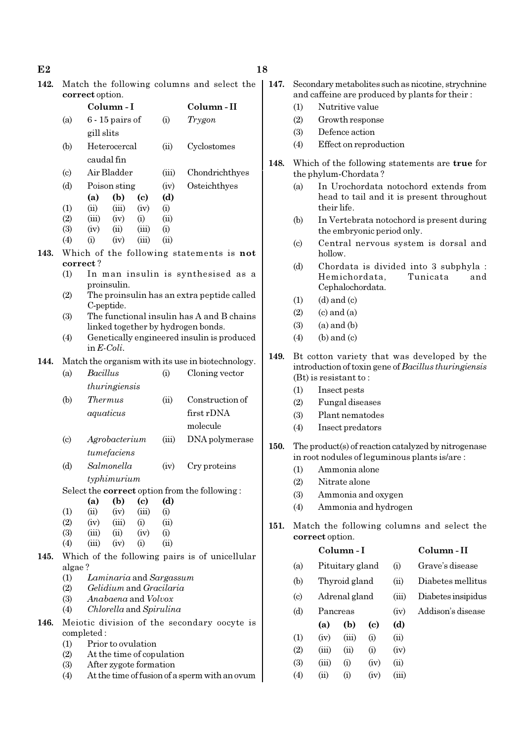- $E2$  and  $18$
- 

| 142. Match the following columns and select the |  |
|-------------------------------------------------|--|
| correct option.                                 |  |
|                                                 |  |

|      |                            |                      | Column-I                              |                            |                         | Column-II                                            |  |  |  |  |
|------|----------------------------|----------------------|---------------------------------------|----------------------------|-------------------------|------------------------------------------------------|--|--|--|--|
|      | (a)                        | 6 - 15 pairs of      |                                       |                            | (i)                     | Trygon                                               |  |  |  |  |
|      |                            |                      | gill slits                            |                            |                         |                                                      |  |  |  |  |
|      | (b)                        |                      | Heterocercal                          |                            | (ii)                    | Cyclostomes                                          |  |  |  |  |
|      |                            |                      | caudal fin                            |                            |                         |                                                      |  |  |  |  |
|      | $\left( \circ \right)$     |                      | Air Bladder                           |                            | (iii)                   | Chondrichthyes                                       |  |  |  |  |
|      | (d)                        |                      | Poison sting                          |                            | (iv)                    | Osteichthyes                                         |  |  |  |  |
|      |                            | (a)                  | (b)                                   | $\left( \mathrm{c}\right)$ | (d)                     |                                                      |  |  |  |  |
|      | (1)                        | (ii)                 | (iii)                                 | (iv)                       | (i)                     |                                                      |  |  |  |  |
|      | (2)                        | (iii)                | (iv)                                  | (i)                        | (ii)                    |                                                      |  |  |  |  |
|      | (3)                        | (iv)                 | (ii)                                  | (iii)                      | (i)                     |                                                      |  |  |  |  |
|      | (4)                        | (i)                  | (iv)                                  | (iii)                      | (ii)                    |                                                      |  |  |  |  |
| 143. |                            |                      |                                       |                            |                         | Which of the following statements is not             |  |  |  |  |
|      |                            | correct?             |                                       |                            |                         |                                                      |  |  |  |  |
|      | (1)                        |                      |                                       |                            |                         | In man insulin is synthesised as a                   |  |  |  |  |
|      | (2)                        |                      | proinsulin.                           |                            |                         | The proinsulin has an extra peptide called           |  |  |  |  |
|      |                            |                      | C-peptide.                            |                            |                         |                                                      |  |  |  |  |
|      | (3)                        |                      |                                       |                            |                         | The functional insulin has A and B chains            |  |  |  |  |
|      |                            |                      |                                       |                            |                         | linked together by hydrogen bonds.                   |  |  |  |  |
|      | (4)                        |                      |                                       |                            |                         | Genetically engineered insulin is produced           |  |  |  |  |
|      |                            | in $E\text{-}Coli$ . |                                       |                            |                         |                                                      |  |  |  |  |
| 144. |                            |                      |                                       |                            |                         | Match the organism with its use in biotechnology.    |  |  |  |  |
|      | (a)                        | <b>Bacillus</b>      |                                       |                            | (i)                     | Cloning vector                                       |  |  |  |  |
|      |                            |                      | thuringiensis                         |                            |                         |                                                      |  |  |  |  |
|      | (b)                        | Thermus              |                                       |                            | (ii)                    | Construction of                                      |  |  |  |  |
|      |                            |                      | aquaticus                             |                            |                         | first rDNA                                           |  |  |  |  |
|      |                            |                      |                                       |                            |                         | molecule                                             |  |  |  |  |
|      |                            |                      |                                       |                            |                         |                                                      |  |  |  |  |
|      | $\left( \mathrm{c}\right)$ |                      | Agrobacterium                         |                            |                         | DNA polymerase                                       |  |  |  |  |
|      |                            |                      | tumefaciens                           |                            |                         |                                                      |  |  |  |  |
|      | (d)                        |                      | Salmonella                            |                            | (iv)                    | Cry proteins                                         |  |  |  |  |
|      |                            |                      | typhimurium                           |                            |                         |                                                      |  |  |  |  |
|      |                            |                      |                                       |                            |                         | Select the <b>correct</b> option from the following: |  |  |  |  |
|      |                            | (a)                  | (b)                                   | (c)                        | (d)                     |                                                      |  |  |  |  |
|      | (1)<br>(2)                 | (ii)<br>(iv)         | (iv)<br>(iii)                         | (iii)<br>(i)               | (i)                     |                                                      |  |  |  |  |
|      | (3)                        | (iii)                | (ii)                                  | (iv)                       | (ii)<br>(i)             |                                                      |  |  |  |  |
|      | (4)                        | (iii)                | (iv)                                  | (i)                        | (ii)                    |                                                      |  |  |  |  |
| 145. |                            |                      |                                       |                            |                         | Which of the following pairs is of unicellular       |  |  |  |  |
|      | algae?                     |                      |                                       |                            |                         |                                                      |  |  |  |  |
|      | (1)                        |                      |                                       |                            | Laminaria and Sargassum |                                                      |  |  |  |  |
|      | (2)                        |                      | <i>Gelidium</i> and <i>Gracilaria</i> |                            |                         |                                                      |  |  |  |  |
|      | (3)                        |                      | Anabaena and Volvox                   |                            |                         |                                                      |  |  |  |  |
|      | (4)                        |                      |                                       |                            | Chlorella and Spirulina |                                                      |  |  |  |  |
| 146. |                            |                      |                                       |                            |                         | Meiotic division of the secondary oocyte is          |  |  |  |  |
|      |                            | completed:           |                                       |                            |                         |                                                      |  |  |  |  |
|      |                            |                      |                                       |                            |                         |                                                      |  |  |  |  |

- (1) Prior to ovulation
- (2) At the time of copulation
- (3) After zygote formation
- (4) At the time of fusion of a sperm with an ovum
- - 147. Secondary metabolites such as nicotine, strychnine and caffeine are produced by plants for their :
		- (1) Nutritive value
		- (2) Growth response
		- (3) Defence action
		- (4) Effect on reproduction
	- 148. Which of the following statements are true for the phylum-Chordata ?
		- (a) In Urochordata notochord extends from head to tail and it is present throughout their life.
		- (b) In Vertebrata notochord is present during the embryonic period only.
		- (c) Central nervous system is dorsal and hollow.
		- (d) Chordata is divided into 3 subphyla : Hemichordata, Tunicata and Cephalochordata.
		- $(1)$   $(d)$  and  $(c)$
		- $(2)$   $(c)$  and  $(a)$
		- $(3)$   $(a)$  and  $(b)$
		- $(4)$  (b) and (c)
	- 149. Bt cotton variety that was developed by the introduction of toxin gene of Bacillus thuringiensis (Bt) is resistant to :
		- (1) Insect pests
		- (2) Fungal diseases
		- (3) Plant nematodes
		- (4) Insect predators
	- 150. The product(s) of reaction catalyzed by nitrogenase in root nodules of leguminous plants is/are :
		- (1) Ammonia alone
		- (2) Nitrate alone
		- (3) Ammonia and oxygen
		- (4) Ammonia and hydrogen

(4) (ii) (i) (iv) (iii)

151. Match the following columns and select the correct option.

#### Column - I Column - II

(a) Pituitary gland (i) Grave's disease (b) Thyroid gland (ii) Diabetes mellitus (c) Adrenal gland (iii) Diabetes insipidus (d) Pancreas (iv) Addison's disease (a) (b) (c) (d)  $(1)$   $(iv)$   $(iii)$   $(i)$   $(ii)$ (2)  $(iii)$   $(ii)$   $(i)$   $(iv)$ (3) (iii) (i) (iv) (ii)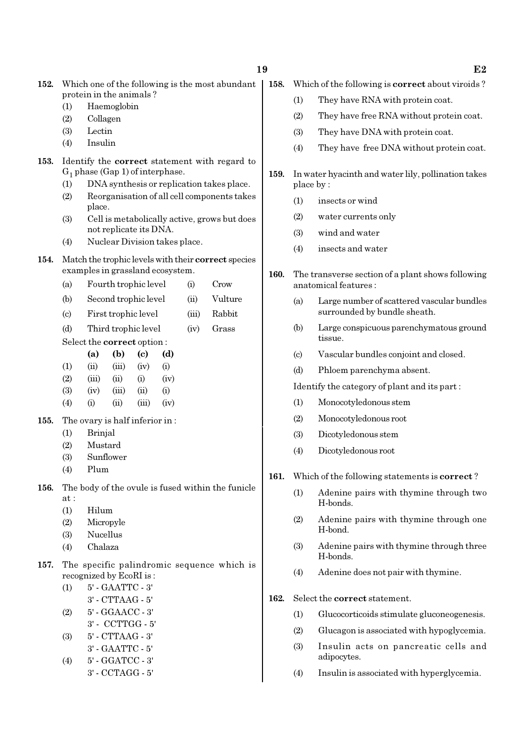|      | protein in the animals?     |                                                                                            |                                |                            |                                  |       |                                                     |  |  |
|------|-----------------------------|--------------------------------------------------------------------------------------------|--------------------------------|----------------------------|----------------------------------|-------|-----------------------------------------------------|--|--|
|      | (1)                         | Haemoglobin                                                                                |                                |                            |                                  |       |                                                     |  |  |
|      | (2)                         | Collagen                                                                                   |                                |                            |                                  |       |                                                     |  |  |
|      | (3)                         | Lectin                                                                                     |                                |                            |                                  |       |                                                     |  |  |
|      | (4)                         | Insulin                                                                                    |                                |                            |                                  |       |                                                     |  |  |
| 153. |                             | Identify the <b>correct</b> statement with regard to<br>$G_1$ phase (Gap 1) of interphase. |                                |                            |                                  |       |                                                     |  |  |
|      | (1)                         |                                                                                            |                                |                            |                                  |       | DNA synthesis or replication takes place.           |  |  |
|      | (2)                         | place.                                                                                     |                                |                            |                                  |       | Reorganisation of all cell components takes         |  |  |
|      | (3)                         |                                                                                            | not replicate its DNA.         |                            |                                  |       | Cell is metabolically active, grows but does        |  |  |
|      | (4)                         |                                                                                            |                                |                            | Nuclear Division takes place.    |       |                                                     |  |  |
| 154. |                             |                                                                                            |                                |                            | examples in grassland ecosystem. |       | Match the trophic levels with their correct species |  |  |
|      | (a)                         |                                                                                            | Fourth trophic level           |                            |                                  | (i)   | Crow                                                |  |  |
|      | (b)                         |                                                                                            | Second trophic level           |                            |                                  | (ii)  | Vulture                                             |  |  |
|      | $\left( \mathrm{c} \right)$ |                                                                                            | First trophic level            |                            |                                  | (iii) | Rabbit                                              |  |  |
|      | (d)                         |                                                                                            | Third trophic level            |                            |                                  | (iv)  | Grass                                               |  |  |
|      |                             |                                                                                            | Select the correct option:     |                            |                                  |       |                                                     |  |  |
|      |                             | (a)                                                                                        | (b)                            | $\left( \mathrm{e}\right)$ | (d)                              |       |                                                     |  |  |
|      | (1)                         | (ii)                                                                                       | (iii)                          | (iv)                       | (i)                              |       |                                                     |  |  |
|      | (2)                         | (iii)                                                                                      | (ii)                           | (i)                        | (iv)                             |       |                                                     |  |  |
|      | (3)                         | (iv)                                                                                       | (iii)                          | (ii)                       | (i)                              |       |                                                     |  |  |
|      | (4)                         | (i)                                                                                        | (ii)                           | (iii)                      | (iv)                             |       |                                                     |  |  |
| 155. |                             |                                                                                            | The ovary is half inferior in: |                            |                                  |       |                                                     |  |  |
|      | (1)                         | Brinjal                                                                                    |                                |                            |                                  |       |                                                     |  |  |
|      | (2)                         | Mustard                                                                                    |                                |                            |                                  |       |                                                     |  |  |
|      | (3)                         | Sunflower                                                                                  |                                |                            |                                  |       |                                                     |  |  |
|      | (4)                         | Plum                                                                                       |                                |                            |                                  |       |                                                     |  |  |
| 156. | at :                        | The body of the ovule is fused within the funicle                                          |                                |                            |                                  |       |                                                     |  |  |

- (1) Hilum
- (2) Micropyle
- (3) Nucellus
- (4) Chalaza
- 157. The specific palindromic sequence which is recognized by EcoRI is :
	- (1) 5' GAATTC 3'
	- 3' CTTAAG 5'
	- (2) 5' GGAACC 3'
	- 3' CCTTGG 5'
	- (3) 5' CTTAAG 3'
	- 3' GAATTC 5' (4) 5' - GGATCC - 3'
	- 3' CCTAGG 5'
- 152. Which one of the following is the most abundant | 158. Which of the following is **correct** about viroids ?
	- (1) They have RNA with protein coat.
	- (2) They have free RNA without protein coat.
	- (3) They have DNA with protein coat.
	- (4) They have free DNA without protein coat.
	- 159. In water hyacinth and water lily, pollination takes place by :
		- (1) insects or wind
		- (2) water currents only
		- (3) wind and water
		- (4) insects and water
	- 160. The transverse section of a plant shows following anatomical features :
		- (a) Large number of scattered vascular bundles surrounded by bundle sheath.
		- (b) Large conspicuous parenchymatous ground tissue.
		- (c) Vascular bundles conjoint and closed.
		- (d) Phloem parenchyma absent.

Identify the category of plant and its part :

- (1) Monocotyledonous stem
- (2) Monocotyledonous root
- (3) Dicotyledonous stem
- (4) Dicotyledonous root
- 161. Which of the following statements is correct?
	- (1) Adenine pairs with thymine through two H-bonds.
	- (2) Adenine pairs with thymine through one H-bond.
	- (3) Adenine pairs with thymine through three H-bonds.
	- (4) Adenine does not pair with thymine.
- 162. Select the correct statement.
	- (1) Glucocorticoids stimulate gluconeogenesis.
	- (2) Glucagon is associated with hypoglycemia.
	- (3) Insulin acts on pancreatic cells and adipocytes.
	- (4) Insulin is associated with hyperglycemia.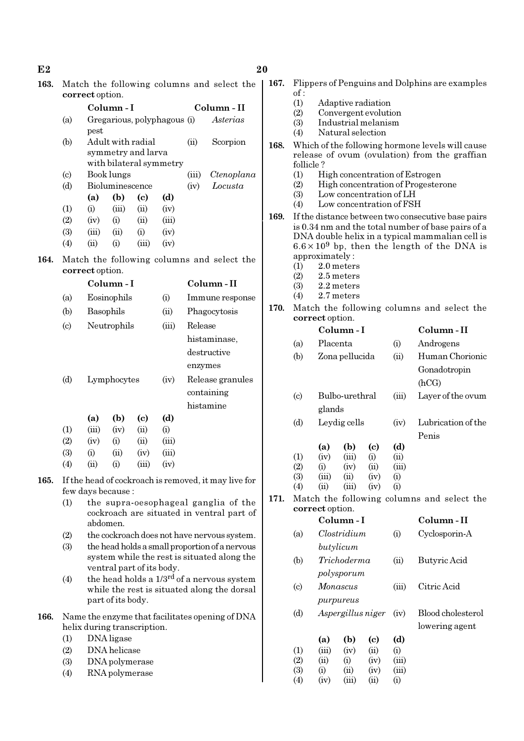| 163. |                            | Match the following columns and select the<br>correct option.                                 |                   |                                                                    |       |          |                                                        |
|------|----------------------------|-----------------------------------------------------------------------------------------------|-------------------|--------------------------------------------------------------------|-------|----------|--------------------------------------------------------|
|      |                            | Column - I                                                                                    |                   |                                                                    |       |          | Column - II                                            |
|      | (a)                        | Gregarious, polyphagous (i)<br>pest                                                           |                   |                                                                    |       |          | Asterias                                               |
|      | (b)                        |                                                                                               |                   | Adult with radial<br>symmetry and larva<br>with bilateral symmetry | (ii)  | Scorpion |                                                        |
|      | $\left( \circ \right)$     |                                                                                               | Book lungs        |                                                                    |       | (iii)    | Ctenoplana                                             |
|      | (d)                        |                                                                                               | Bioluminescence   |                                                                    |       | (iv)     | Locusta                                                |
|      |                            | (a)                                                                                           | (b)               | (c)                                                                | (d)   |          |                                                        |
|      | (1)                        | (i)                                                                                           | (iii)             | (ii)                                                               | (iv)  |          |                                                        |
|      | (2)                        | (iv)                                                                                          | (i)               | (ii)                                                               | (iii) |          |                                                        |
|      | (3)                        | (iii)                                                                                         | (ii)              | (i)                                                                | (iv)  |          |                                                        |
|      | (4)                        | (ii)                                                                                          | (i)               | (iii)                                                              | (iv)  |          |                                                        |
|      |                            |                                                                                               |                   |                                                                    |       |          |                                                        |
| 164. |                            | correct option.                                                                               |                   |                                                                    |       |          | Match the following columns and select the             |
|      |                            |                                                                                               | Column - I        |                                                                    |       |          | Column - II                                            |
|      | (a)                        |                                                                                               | Eosinophils       |                                                                    | (i)   |          | Immune response                                        |
|      | (b)                        | Basophils                                                                                     |                   |                                                                    | (ii)  |          | Phagocytosis                                           |
|      | $\left( \mathrm{c}\right)$ |                                                                                               | Neutrophils       |                                                                    | (iii) | Release  |                                                        |
|      |                            |                                                                                               |                   |                                                                    |       |          | histaminase,                                           |
|      |                            |                                                                                               |                   |                                                                    |       |          | destructive                                            |
|      |                            |                                                                                               |                   |                                                                    |       | enzymes  |                                                        |
|      | (d)                        |                                                                                               | Lymphocytes       |                                                                    | (iv)  |          | Release granules                                       |
|      |                            |                                                                                               |                   |                                                                    |       |          | containing                                             |
|      |                            |                                                                                               |                   |                                                                    |       |          | histamine                                              |
|      |                            | (a)                                                                                           | (b)               | (c)                                                                | (d)   |          |                                                        |
|      | (1)                        | (iii)                                                                                         | (iv)              | (ii)                                                               | (i)   |          |                                                        |
|      | (2)                        | (iv)                                                                                          | (i)               | (ii)                                                               | (iii) |          |                                                        |
|      | (3)                        | (i)                                                                                           | (ii)              | (iv)                                                               | (iii) |          |                                                        |
|      | (4)                        | (ii)                                                                                          | (i)               | (iii)                                                              | (iv)  |          |                                                        |
| 165. |                            |                                                                                               |                   |                                                                    |       |          | If the head of cockroach is removed, it may live for   |
|      | (1)                        | few days because :                                                                            |                   |                                                                    |       |          |                                                        |
|      |                            | the supra-oesophageal ganglia of the<br>cockroach are situated in ventral part of<br>abdomen. |                   |                                                                    |       |          |                                                        |
|      | (2)                        |                                                                                               |                   |                                                                    |       |          | the cockroach does not have nervous system.            |
|      | (3)                        |                                                                                               |                   |                                                                    |       |          | the head holds a small proportion of a nervous         |
|      |                            |                                                                                               |                   | ventral part of its body.                                          |       |          | system while the rest is situated along the            |
|      | (4)                        |                                                                                               |                   |                                                                    |       |          | the head holds a 1/3 <sup>rd</sup> of a nervous system |
|      |                            |                                                                                               |                   |                                                                    |       |          | while the rest is situated along the dorsal            |
|      |                            |                                                                                               | part of its body. |                                                                    |       |          |                                                        |
| 166. |                            |                                                                                               |                   |                                                                    |       |          | Name the enzyme that facilitates opening of DNA        |
|      |                            | helix during transcription.                                                                   |                   |                                                                    |       |          |                                                        |
|      | (1)                        |                                                                                               | DNA ligase        |                                                                    |       |          |                                                        |
|      | (2)                        |                                                                                               | DNA helicase      |                                                                    |       |          |                                                        |
|      | (3)                        |                                                                                               | DNA polymerase    |                                                                    |       |          |                                                        |

(4) RNA polymerase

|      | of:                         |                                                     |                   |             |                   |                                                                                                        |  |  |  |
|------|-----------------------------|-----------------------------------------------------|-------------------|-------------|-------------------|--------------------------------------------------------------------------------------------------------|--|--|--|
|      | (1)                         | Adaptive radiation                                  |                   |             |                   |                                                                                                        |  |  |  |
|      | (2)                         | Convergent evolution                                |                   |             |                   |                                                                                                        |  |  |  |
|      | (3)                         | Industrial melanism                                 |                   |             |                   |                                                                                                        |  |  |  |
|      | (4)                         | Natural selection                                   |                   |             |                   |                                                                                                        |  |  |  |
| 168. |                             | Which of the following hormone levels will cause    |                   |             |                   |                                                                                                        |  |  |  |
|      |                             | release of ovum (ovulation) from the graffian       |                   |             |                   |                                                                                                        |  |  |  |
|      |                             | follicle?                                           |                   |             |                   |                                                                                                        |  |  |  |
|      | (1)                         | High concentration of Estrogen                      |                   |             |                   |                                                                                                        |  |  |  |
|      | (2)                         | High concentration of Progesterone                  |                   |             |                   |                                                                                                        |  |  |  |
|      | (3)                         | Low concentration of LH<br>Low concentration of FSH |                   |             |                   |                                                                                                        |  |  |  |
|      | (4)                         |                                                     |                   |             |                   |                                                                                                        |  |  |  |
| 169. |                             |                                                     |                   |             |                   | If the distance between two consecutive base pairs                                                     |  |  |  |
|      |                             |                                                     |                   |             |                   | is 0.34 nm and the total number of base pairs of a                                                     |  |  |  |
|      |                             |                                                     |                   |             |                   | DNA double helix in a typical mammalian cell is<br>$6.6 \times 10^9$ bp, then the length of the DNA is |  |  |  |
|      |                             | approximately:                                      |                   |             |                   |                                                                                                        |  |  |  |
|      | (1)                         |                                                     | 2.0 meters        |             |                   |                                                                                                        |  |  |  |
|      | (2)                         |                                                     | 2.5 meters        |             |                   |                                                                                                        |  |  |  |
|      | (3)                         |                                                     | 2.2 meters        |             |                   |                                                                                                        |  |  |  |
|      | (4)                         |                                                     | 2.7 meters        |             |                   |                                                                                                        |  |  |  |
| 170. |                             |                                                     |                   |             |                   | Match the following columns and select the                                                             |  |  |  |
|      |                             | correct option.                                     |                   |             |                   |                                                                                                        |  |  |  |
|      |                             |                                                     | Column-I          |             |                   | Column-II                                                                                              |  |  |  |
|      | (a)                         | Placenta                                            |                   |             | (i)               | Androgens                                                                                              |  |  |  |
|      |                             |                                                     |                   |             |                   | Human Chorionic                                                                                        |  |  |  |
|      | (b)                         |                                                     | Zona pellucida    |             | (ii)              |                                                                                                        |  |  |  |
|      |                             |                                                     |                   |             | Gonadotropin      |                                                                                                        |  |  |  |
|      |                             |                                                     |                   |             |                   | (hCG)                                                                                                  |  |  |  |
|      | $\left( \mathrm{c} \right)$ |                                                     | Bulbo-urethral    |             | (iii)             | Layer of the ovum                                                                                      |  |  |  |
|      |                             | glands                                              |                   |             |                   |                                                                                                        |  |  |  |
|      | (d)                         | Leydig cells                                        |                   |             | (iv)              | Lubrication of the                                                                                     |  |  |  |
|      |                             |                                                     |                   |             |                   |                                                                                                        |  |  |  |
|      |                             |                                                     |                   |             |                   | Penis                                                                                                  |  |  |  |
|      |                             | (a)                                                 | (b)               | (c)         | (d)               |                                                                                                        |  |  |  |
|      | (1)<br>(2)                  | (iv)                                                | (iii)             | (i)<br>(ii) | (ii)              |                                                                                                        |  |  |  |
|      | (3)                         | (i)<br>(iii)                                        | (iv)<br>(ii)      | (iv)        | (iii)<br>$\rm(i)$ |                                                                                                        |  |  |  |
|      | $\left( 4\right)$           | $\rm (II)$                                          | (III)             | (1V)        | $\left(1\right)$  |                                                                                                        |  |  |  |
| 171. |                             |                                                     |                   |             |                   | Match the following columns and select the                                                             |  |  |  |
|      |                             | correct option.                                     |                   |             |                   |                                                                                                        |  |  |  |
|      |                             |                                                     | Column - I        |             |                   | Column-II                                                                                              |  |  |  |
|      |                             |                                                     | Clostridium       |             |                   |                                                                                                        |  |  |  |
|      | (a)                         |                                                     |                   |             | (i)               | Cyclosporin-A                                                                                          |  |  |  |
|      |                             |                                                     | butylicum         |             |                   |                                                                                                        |  |  |  |
|      | (b)                         |                                                     | Trichoderma       |             | (ii)              | Butyric Acid                                                                                           |  |  |  |
|      |                             |                                                     | polysporum        |             |                   |                                                                                                        |  |  |  |
|      | $\left( \mathrm{c} \right)$ |                                                     | Monascus          |             | (iii)             | Citric Acid                                                                                            |  |  |  |
|      |                             |                                                     |                   |             |                   |                                                                                                        |  |  |  |
|      |                             |                                                     | purpureus         |             |                   |                                                                                                        |  |  |  |
|      | (d)                         |                                                     | Aspergillus niger |             | (iv)              | Blood cholesterol                                                                                      |  |  |  |
|      |                             |                                                     |                   |             |                   | lowering agent                                                                                         |  |  |  |
|      |                             | (a)                                                 | (b)               | (c)         | (d)               |                                                                                                        |  |  |  |
|      | (1)                         | (iii)                                               | (iv)              | (ii)        | (i)               |                                                                                                        |  |  |  |
|      | (2)                         | (ii)                                                | (i)               | (iv)        | (iii)             |                                                                                                        |  |  |  |
|      | (3)                         | (i)                                                 | (ii)              | (iv)        | (iii)             |                                                                                                        |  |  |  |
|      | (4)                         | (iv)                                                | (iii)             | (ii)        |                   |                                                                                                        |  |  |  |

167. Flippers of Penguins and Dolphins are examples

#### $E2$  20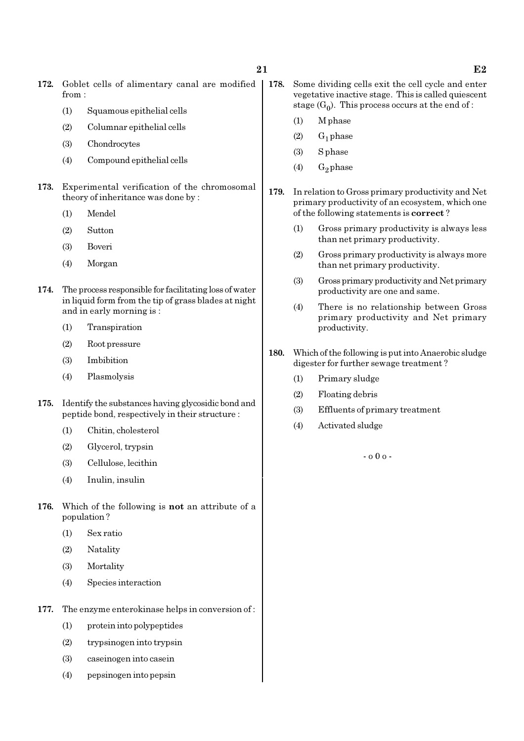- 172. Goblet cells of alimentary canal are modified | 178. from :
	- (1) Squamous epithelial cells
	- (2) Columnar epithelial cells
	- (3) Chondrocytes
	- (4) Compound epithelial cells
- 173. Experimental verification of the chromosomal theory of inheritance was done by :
	- (1) Mendel
	- (2) Sutton
	- (3) Boveri
	- (4) Morgan
- 174. The process responsible for facilitating loss of water in liquid form from the tip of grass blades at night and in early morning is :
	- (1) Transpiration
	- (2) Root pressure
	- (3) Imbibition
	- (4) Plasmolysis
- 175. Identify the substances having glycosidic bond and peptide bond, respectively in their structure :
	- (1) Chitin, cholesterol
	- (2) Glycerol, trypsin
	- (3) Cellulose, lecithin
	- (4) Inulin, insulin
- 176. Which of the following is not an attribute of a population ?
	- (1) Sex ratio
	- (2) Natality
	- (3) Mortality
	- (4) Species interaction
- 177. The enzyme enterokinase helps in conversion of :
	- (1) protein into polypeptides
	- (2) trypsinogen into trypsin
	- (3) caseinogen into casein
	- (4) pepsinogen into pepsin
- Some dividing cells exit the cell cycle and enter vegetative inactive stage. This is called quiescent stage  $(G_0)$ . This process occurs at the end of :
	- (1) M phase
	- $(2)$  G<sub>1</sub> phase
	- (3) S phase
	- (4)  $G_2$  phase
- 179. In relation to Gross primary productivity and Net primary productivity of an ecosystem, which one of the following statements is correct ?
	- (1) Gross primary productivity is always less than net primary productivity.
	- (2) Gross primary productivity is always more than net primary productivity.
	- (3) Gross primary productivity and Net primary productivity are one and same.
	- (4) There is no relationship between Gross primary productivity and Net primary productivity.
- 180. Which of the following is put into Anaerobic sludge digester for further sewage treatment ?
	- (1) Primary sludge
	- (2) Floating debris
	- (3) Effluents of primary treatment
	- (4) Activated sludge

- o 0 o -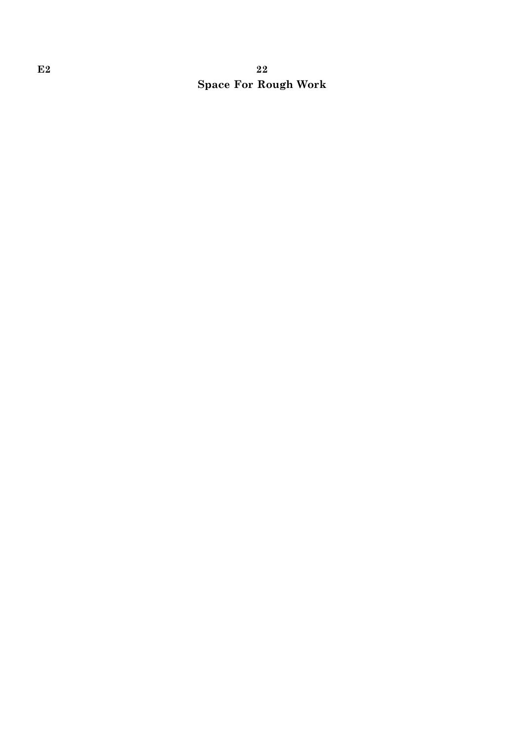### E2 22 Space For Rough Work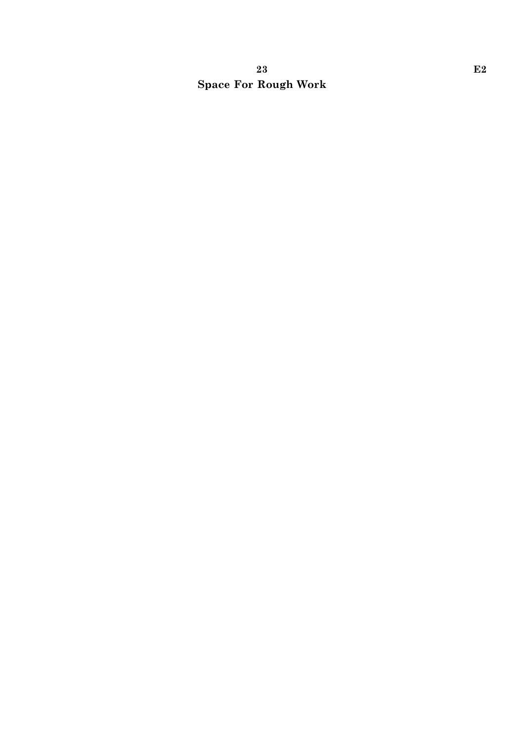### 23 Beta  $\mathbf{E2}$ Space For Rough Work